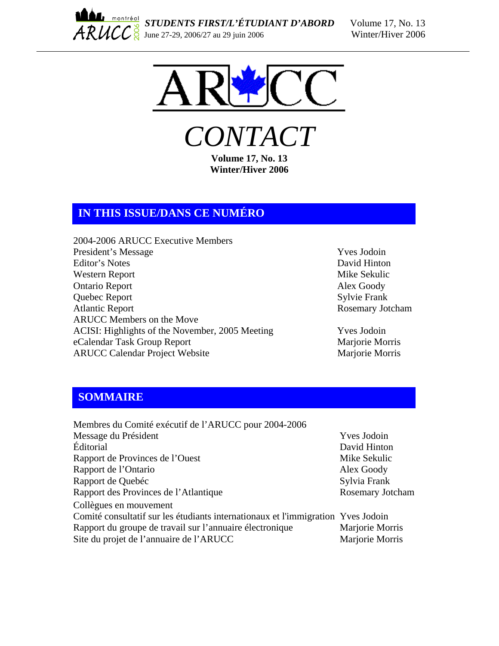



*CONTACT*  **Volume 17, No. 13** 

**Winter/Hiver 2006** 

# **IN THIS ISSUE/DANS CE NUMÉRO**

- 2004-2006 ARUCC Executive Members President's Message Yves Jodoin Editor's Notes David Hinton Western Report Mike Sekulic Ontario Report Alex Goody Quebec Report Sylvie Frank<br>Atlantic Report Rosemary Jo ARUCC Members on the Move ACISI: Highlights of the November, 2005 Meeting Yves Jodoin eCalendar Task Group Report Marjorie Morris ARUCC Calendar Project Website Marjorie Morris
	- Rosemary Jotcham

# **SOMMAIRE**

| Membres du Comité exécutif de l'ARUCC pour 2004-2006                             |                    |
|----------------------------------------------------------------------------------|--------------------|
| Message du Président                                                             | <b>Yves</b> Jodoin |
| <b>Éditorial</b>                                                                 | David Hinton       |
| Rapport de Provinces de l'Ouest                                                  | Mike Sekulic       |
| Rapport de l'Ontario                                                             | Alex Goody         |
| Rapport de Quebéc                                                                | Sylvia Frank       |
| Rapport des Provinces de l'Atlantique                                            | Rosemary Jotcham   |
| Collègues en mouvement                                                           |                    |
| Comité consultatif sur les étudiants internationaux et l'immigration Yves Jodoin |                    |
| Rapport du groupe de travail sur l'annuaire électronique                         | Marjorie Morris    |
| Site du projet de l'annuaire de l'ARUCC                                          | Marjorie Morris    |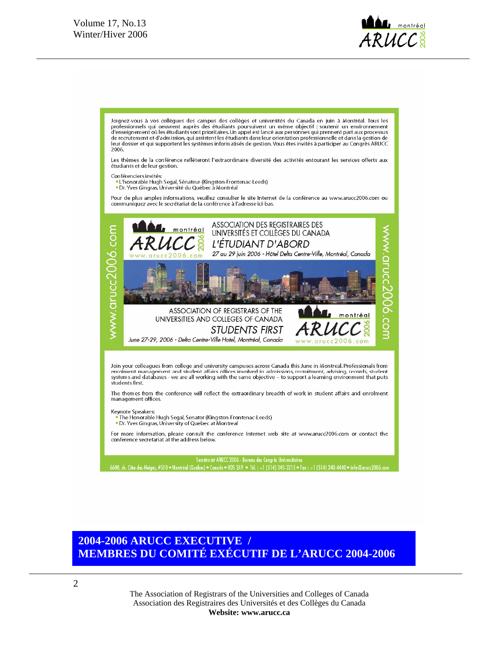

Joignez-vous à vos collègues des campus des collèges et universités du Canada en juin à Montréal. Tous les professionnels qui oeuvrent auprès des étudiants poursuivent un même objectif : soutenir un environnement<br>d'enseignement où les étudiants sont prioritaires. Un appel est lancé aux personnes qui prennent part aux processus de recrutement et d'admission, qui assistent les étudiants dans leur orientation professionnelle et dans la gestion de leur dossier et qui supportent les systèmes informatisés de gestion. Vous êtes invités à participer au Congrès ARUCC<br>2006.

Les thèmes de la conférence reflèteront l'extraordinaire diversité des activités entourant les services offerts aux étudiants et de leur gestion.

Conférenciers invités:

.<br>• L'honorable Hugh Segal, Sénateur (Kingston-Frontenac-Leeds) • Dr. Yves Gingras, Université du Québec à Montréal

Pour de plus amples informations, veuillez consulter le site Internet de la conférence au www.arucc2006.com ou communiquez avec le secrétariat de la conférence à l'adresse ici-bas.



# **2004-2006 ARUCC EXECUTIVE / MEMBRES DU COMITÉ EXÉCUTIF DE L'ARUCC 2004-2006**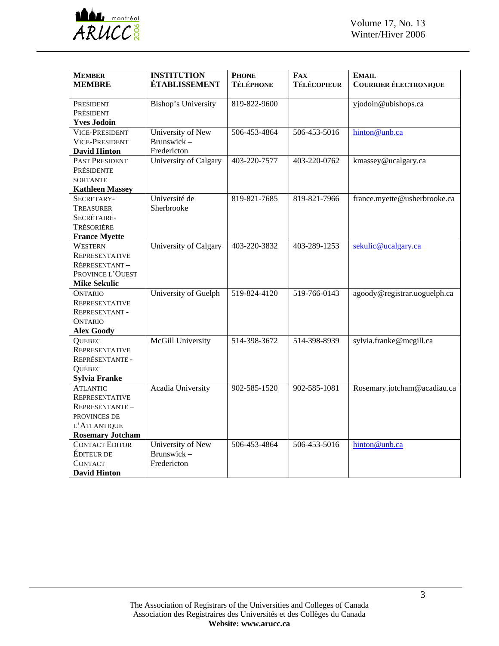

| <b>MEMBER</b>           | <b>INSTITUTION</b>         | <b>PHONE</b>     | <b>FAX</b>         | <b>EMAIL</b>                 |
|-------------------------|----------------------------|------------------|--------------------|------------------------------|
| <b>MEMBRE</b>           | <b>ÉTABLISSEMENT</b>       | <b>TÉLÉPHONE</b> | <b>TÉLÉCOPIEUR</b> | <b>COURRIER ÉLECTRONIQUE</b> |
| PRESIDENT               | <b>Bishop's University</b> | 819-822-9600     |                    | yjodoin@ubishops.ca          |
| PRÉSIDENT               |                            |                  |                    |                              |
| <b>Yves Jodoin</b>      |                            |                  |                    |                              |
| <b>VICE-PRESIDENT</b>   | University of New          | 506-453-4864     | 506-453-5016       | hinton@unb.ca                |
| <b>VICE-PRESIDENT</b>   | Brunswick-                 |                  |                    |                              |
| <b>David Hinton</b>     | Fredericton                |                  |                    |                              |
| PAST PRESIDENT          | University of Calgary      | 403-220-7577     | 403-220-0762       | kmassey@ucalgary.ca          |
| PRÉSIDENTE              |                            |                  |                    |                              |
| <b>SORTANTE</b>         |                            |                  |                    |                              |
| <b>Kathleen Massey</b>  |                            |                  |                    |                              |
| SECRETARY-              | Université de              | 819-821-7685     | 819-821-7966       | france.myette@usherbrooke.ca |
| TREASURER               | Sherbrooke                 |                  |                    |                              |
| SECRÉTAIRE-             |                            |                  |                    |                              |
| TRÉSORIÈRE              |                            |                  |                    |                              |
| <b>France Myette</b>    |                            |                  |                    |                              |
| <b>WESTERN</b>          | University of Calgary      | 403-220-3832     | 403-289-1253       | sekulic@ucalgary.ca          |
| <b>REPRESENTATIVE</b>   |                            |                  |                    |                              |
| RÉPRESENTANT-           |                            |                  |                    |                              |
| PROVINCE L'OUEST        |                            |                  |                    |                              |
| <b>Mike Sekulic</b>     |                            |                  |                    |                              |
| <b>ONTARIO</b>          | University of Guelph       | 519-824-4120     | 519-766-0143       | agoody@registrar.uoguelph.ca |
| REPRESENTATIVE          |                            |                  |                    |                              |
| <b>REPRESENTANT-</b>    |                            |                  |                    |                              |
| <b>ONTARIO</b>          |                            |                  |                    |                              |
| <b>Alex Goody</b>       |                            |                  |                    |                              |
| <b>QUEBEC</b>           | McGill University          | 514-398-3672     | 514-398-8939       | sylvia.franke@mcgill.ca      |
| REPRESENTATIVE          |                            |                  |                    |                              |
| REPRÉSENTANTE -         |                            |                  |                    |                              |
| <b>QUÉBEC</b>           |                            |                  |                    |                              |
| Sylvia Franke           |                            |                  |                    |                              |
| <b>ATLANTIC</b>         | Acadia University          | 902-585-1520     | 902-585-1081       | Rosemary.jotcham@acadiau.ca  |
| <b>REPRESENTATIVE</b>   |                            |                  |                    |                              |
| REPRESENTANTE-          |                            |                  |                    |                              |
| PROVINCES DE            |                            |                  |                    |                              |
| L'ATLANTIQUE            |                            |                  |                    |                              |
| <b>Rosemary Jotcham</b> |                            |                  |                    |                              |
| <b>CONTACT EDITOR</b>   | University of New          | 506-453-4864     | 506-453-5016       | hinton@unb.ca                |
| <b>ÉDITEUR DE</b>       | Brunswick-                 |                  |                    |                              |
| <b>CONTACT</b>          | Fredericton                |                  |                    |                              |
| <b>David Hinton</b>     |                            |                  |                    |                              |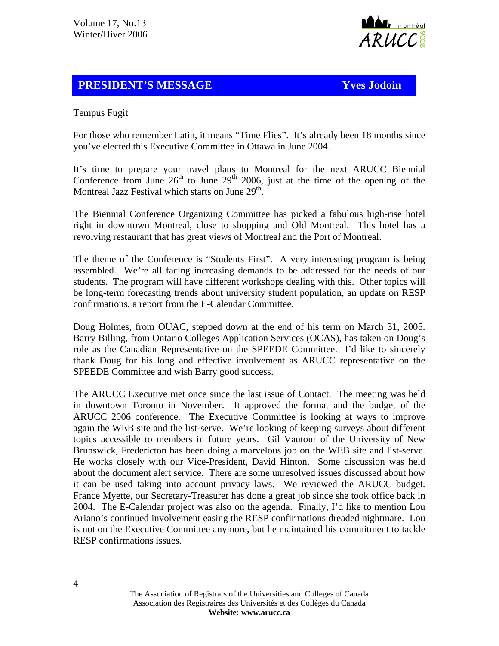

## **PRESIDENT'S MESSAGE Yves Jodoin**

Tempus Fugit

For those who remember Latin, it means "Time Flies". It's already been 18 months since you've elected this Executive Committee in Ottawa in June 2004.

It's time to prepare your travel plans to Montreal for the next ARUCC Biennial Conference from June  $26<sup>th</sup>$  to June  $29<sup>th</sup>$  2006, just at the time of the opening of the Montreal Jazz Festival which starts on June 29<sup>th</sup>.

The Biennial Conference Organizing Committee has picked a fabulous high-rise hotel right in downtown Montreal, close to shopping and Old Montreal. This hotel has a revolving restaurant that has great views of Montreal and the Port of Montreal.

The theme of the Conference is "Students First". A very interesting program is being assembled. We're all facing increasing demands to be addressed for the needs of our students. The program will have different workshops dealing with this. Other topics will be long-term forecasting trends about university student population, an update on RESP confirmations, a report from the E-Calendar Committee.

Doug Holmes, from OUAC, stepped down at the end of his term on March 31, 2005. Barry Billing, from Ontario Colleges Application Services (OCAS), has taken on Doug's role as the Canadian Representative on the SPEEDE Committee. I'd like to sincerely thank Doug for his long and effective involvement as ARUCC representative on the SPEEDE Committee and wish Barry good success.

The ARUCC Executive met once since the last issue of Contact. The meeting was held in downtown Toronto in November. It approved the format and the budget of the ARUCC 2006 conference. The Executive Committee is looking at ways to improve again the WEB site and the list-serve. We're looking of keeping surveys about different topics accessible to members in future years. Gil Vautour of the University of New Brunswick, Fredericton has been doing a marvelous job on the WEB site and list-serve. He works closely with our Vice-President, David Hinton. Some discussion was held about the document alert service. There are some unresolved issues discussed about how it can be used taking into account privacy laws. We reviewed the ARUCC budget. France Myette, our Secretary-Treasurer has done a great job since she took office back in 2004. The E-Calendar project was also on the agenda. Finally, I'd like to mention Lou Ariano's continued involvement easing the RESP confirmations dreaded nightmare. Lou is not on the Executive Committee anymore, but he maintained his commitment to tackle RESP confirmations issues.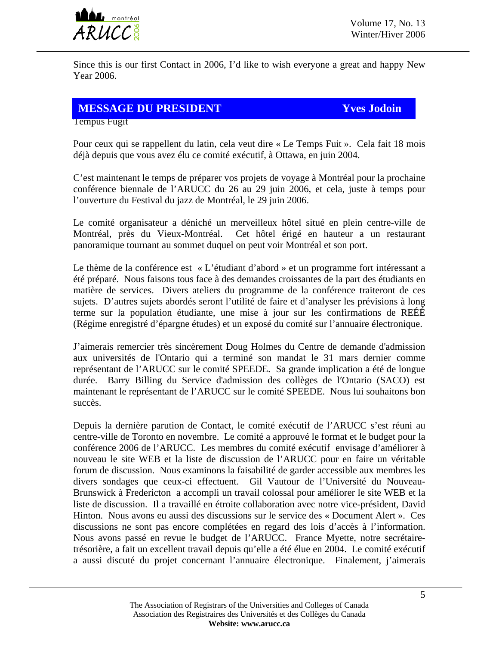

Since this is our first Contact in 2006, I'd like to wish everyone a great and happy New Year 2006.

#### **MESSAGE DU PRESIDENT Yves Jodoin**

Tempus Fugit

Pour ceux qui se rappellent du latin, cela veut dire « Le Temps Fuit ». Cela fait 18 mois déjà depuis que vous avez élu ce comité exécutif, à Ottawa, en juin 2004.

C'est maintenant le temps de préparer vos projets de voyage à Montréal pour la prochaine conférence biennale de l'ARUCC du 26 au 29 juin 2006, et cela, juste à temps pour l'ouverture du Festival du jazz de Montréal, le 29 juin 2006.

Le comité organisateur a déniché un merveilleux hôtel situé en plein centre-ville de Montréal, près du Vieux-Montréal. Cet hôtel érigé en hauteur a un restaurant panoramique tournant au sommet duquel on peut voir Montréal et son port.

Le thème de la conférence est « L'étudiant d'abord » et un programme fort intéressant a été préparé. Nous faisons tous face à des demandes croissantes de la part des étudiants en matière de services. Divers ateliers du programme de la conférence traiteront de ces sujets. D'autres sujets abordés seront l'utilité de faire et d'analyser les prévisions à long terme sur la population étudiante, une mise à jour sur les confirmations de REÉÉ (Régime enregistré d'épargne études) et un exposé du comité sur l'annuaire électronique.

J'aimerais remercier très sincèrement Doug Holmes du Centre de demande d'admission aux universités de l'Ontario qui a terminé son mandat le 31 mars dernier comme représentant de l'ARUCC sur le comité SPEEDE. Sa grande implication a été de longue durée. Barry Billing du Service d'admission des collèges de l′Ontario (SACO) est maintenant le représentant de l'ARUCC sur le comité SPEEDE. Nous lui souhaitons bon succès.

Depuis la dernière parution de Contact, le comité exécutif de l'ARUCC s'est réuni au centre-ville de Toronto en novembre. Le comité a approuvé le format et le budget pour la conférence 2006 de l'ARUCC. Les membres du comité exécutif envisage d'améliorer à nouveau le site WEB et la liste de discussion de l'ARUCC pour en faire un véritable forum de discussion. Nous examinons la faisabilité de garder accessible aux membres les divers sondages que ceux-ci effectuent. Gil Vautour de l'Université du Nouveau-Brunswick à Fredericton a accompli un travail colossal pour améliorer le site WEB et la liste de discussion. Il a travaillé en étroite collaboration avec notre vice-président, David Hinton. Nous avons eu aussi des discussions sur le service des « Document Alert ». Ces discussions ne sont pas encore complétées en regard des lois d'accès à l'information. Nous avons passé en revue le budget de l'ARUCC. France Myette, notre secrétairetrésorière, a fait un excellent travail depuis qu'elle a été élue en 2004. Le comité exécutif a aussi discuté du projet concernant l'annuaire électronique. Finalement, j'aimerais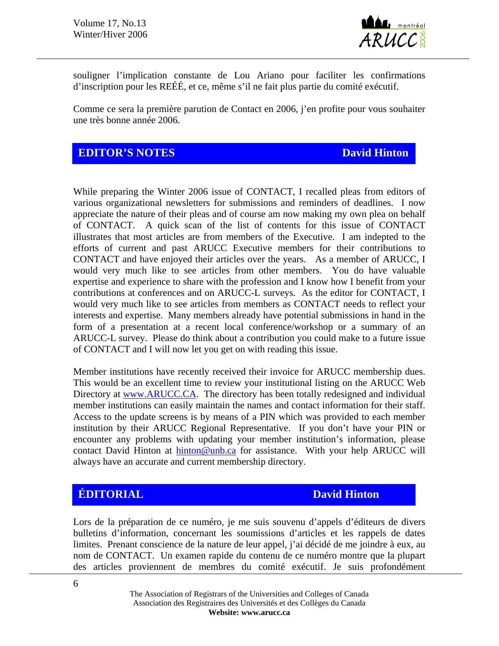

souligner l'implication constante de Lou Ariano pour faciliter les confirmations d'inscription pour les REÉÉ, et ce, même s'il ne fait plus partie du comité exécutif.

Comme ce sera la première parution de Contact en 2006, j'en profite pour vous souhaiter une très bonne année 2006.

## **EDITOR'S NOTES** David Hinton **David Hinton**

While preparing the Winter 2006 issue of CONTACT, I recalled pleas from editors of various organizational newsletters for submissions and reminders of deadlines. I now appreciate the nature of their pleas and of course am now making my own plea on behalf of CONTACT. A quick scan of the list of contents for this issue of CONTACT illustrates that most articles are from members of the Executive. I am indepted to the efforts of current and past ARUCC Executive members for their contributions to CONTACT and have enjoyed their articles over the years. As a member of ARUCC, I would very much like to see articles from other members. You do have valuable expertise and experience to share with the profession and I know how I benefit from your contributions at conferences and on ARUCC-L surveys. As the editor for CONTACT, I would very much like to see articles from members as CONTACT needs to reflect your interests and expertise. Many members already have potential submissions in hand in the form of a presentation at a recent local conference/workshop or a summary of an ARUCC-L survey. Please do think about a contribution you could make to a future issue of CONTACT and I will now let you get on with reading this issue.

Member institutions have recently received their invoice for ARUCC membership dues. This would be an excellent time to review your institutional listing on the ARUCC Web Directory at [www.ARUCC.CA](http://www.arucc.ca/). The directory has been totally redesigned and individual member institutions can easily maintain the names and contact information for their staff. Access to the update screens is by means of a PIN which was provided to each member institution by their ARUCC Regional Representative. If you don't have your PIN or encounter any problems with updating your member institution's information, please contact David Hinton at [hinton@unb.ca](mailto:hinton@unb.ca) for assistance. With your help ARUCC will always have an accurate and current membership directory.

# **ÉDITORIAL** David Hinton

Lors de la préparation de ce numéro, je me suis souvenu d'appels d'éditeurs de divers bulletins d'information, concernant les soumissions d'articles et les rappels de dates limites. Prenant conscience de la nature de leur appel, j'ai décidé de me joindre à eux, au nom de CONTACT. Un examen rapide du contenu de ce numéro montre que la plupart des articles proviennent de membres du comité exécutif. Je suis profondément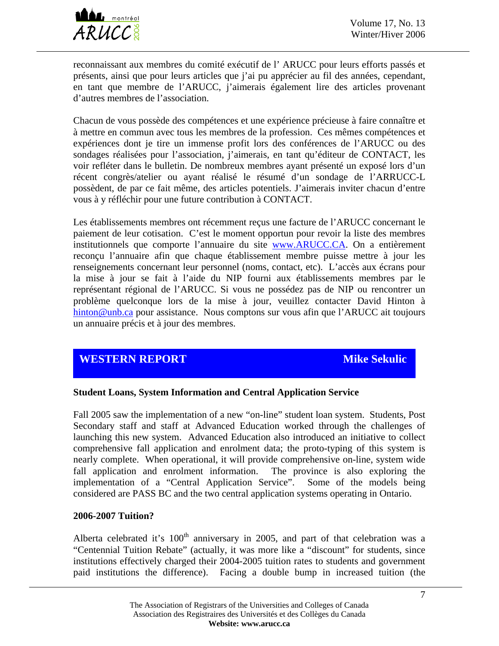

reconnaissant aux membres du comité exécutif de l' ARUCC pour leurs efforts passés et présents, ainsi que pour leurs articles que j'ai pu apprécier au fil des années, cependant, en tant que membre de l'ARUCC, j'aimerais également lire des articles provenant d'autres membres de l'association.

Chacun de vous possède des compétences et une expérience précieuse à faire connaître et à mettre en commun avec tous les membres de la profession. Ces mêmes compétences et expériences dont je tire un immense profit lors des conférences de l'ARUCC ou des sondages réalisées pour l'association, j'aimerais, en tant qu'éditeur de CONTACT, les voir refléter dans le bulletin. De nombreux membres ayant présenté un exposé lors d'un récent congrès/atelier ou ayant réalisé le résumé d'un sondage de l'ARRUCC-L possèdent, de par ce fait même, des articles potentiels. J'aimerais inviter chacun d'entre vous à y réfléchir pour une future contribution à CONTACT.

Les établissements membres ont récemment reçus une facture de l'ARUCC concernant le paiement de leur cotisation. C'est le moment opportun pour revoir la liste des membres institutionnels que comporte l'annuaire du site www.ARUCC.CA. On a entièrement reconçu l'annuaire afin que chaque établissement membre puisse mettre à jour les renseignements concernant leur personnel (noms, contact, etc). L'accès aux écrans pour la mise à jour se fait à l'aide du NIP fourni aux établissements membres par le représentant régional de l'ARUCC. Si vous ne possédez pas de NIP ou rencontrer un problème quelconque lors de la mise à jour, veuillez contacter David Hinton à [hinton@unb.ca](mailto:hinton@unb.ca) pour assistance. Nous comptons sur vous afin que l'ARUCC ait toujours un annuaire précis et à jour des membres.

## **WESTERN REPORT Mike Sekulic**

#### **Student Loans, System Information and Central Application Service**

Fall 2005 saw the implementation of a new "on-line" student loan system. Students, Post Secondary staff and staff at Advanced Education worked through the challenges of launching this new system. Advanced Education also introduced an initiative to collect comprehensive fall application and enrolment data; the proto-typing of this system is nearly complete. When operational, it will provide comprehensive on-line, system wide fall application and enrolment information. The province is also exploring the implementation of a "Central Application Service". Some of the models being considered are PASS BC and the two central application systems operating in Ontario.

#### **2006-2007 Tuition?**

Alberta celebrated it's  $100<sup>th</sup>$  anniversary in 2005, and part of that celebration was a "Centennial Tuition Rebate" (actually, it was more like a "discount" for students, since institutions effectively charged their 2004-2005 tuition rates to students and government paid institutions the difference). Facing a double bump in increased tuition (the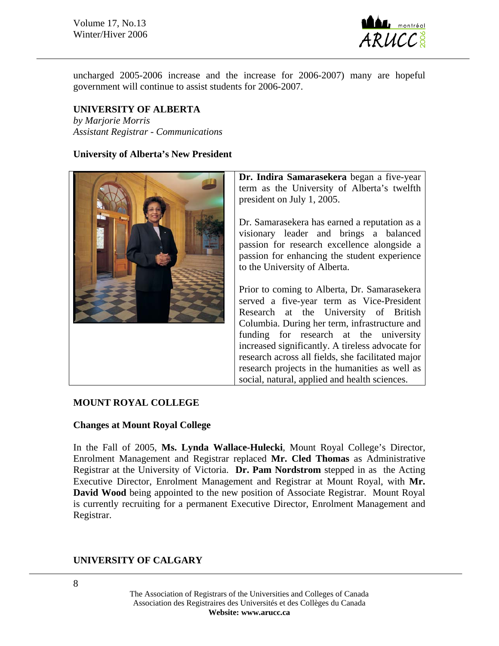Volume 17, No.13 Winter/Hiver 2006



uncharged 2005-2006 increase and the increase for 2006-2007) many are hopeful government will continue to assist students for 2006-2007.

### **UNIVERSITY OF ALBERTA**

*by Marjorie Morris Assistant Registrar - Communications* 

#### **University of Alberta's New President**



**Dr. Indira Samarasekera** began a five-year term as the University of Alberta's twelfth president on July 1, 2005.

Dr. Samarasekera has earned a reputation as a visionary leader and brings a balanced passion for research excellence alongside a passion for enhancing the student experience to the University of Alberta.

Prior to coming to Alberta, Dr. Samarasekera served a five-year term as Vice-President Research at the University of British Columbia. During her term, infrastructure and funding for research at the university increased significantly. A tireless advocate for research across all fields, she facilitated major research projects in the humanities as well as social, natural, applied and health sciences.

#### **MOUNT ROYAL COLLEGE**

#### **Changes at Mount Royal College**

In the Fall of 2005, **Ms. Lynda Wallace-Hulecki**, Mount Royal College's Director, Enrolment Management and Registrar replaced **Mr. Cled Thomas** as Administrative Registrar at the University of Victoria. **Dr. Pam Nordstrom** stepped in as the Acting Executive Director, Enrolment Management and Registrar at Mount Royal, with **Mr. David Wood** being appointed to the new position of Associate Registrar. Mount Royal is currently recruiting for a permanent Executive Director, Enrolment Management and Registrar.

#### **UNIVERSITY OF CALGARY**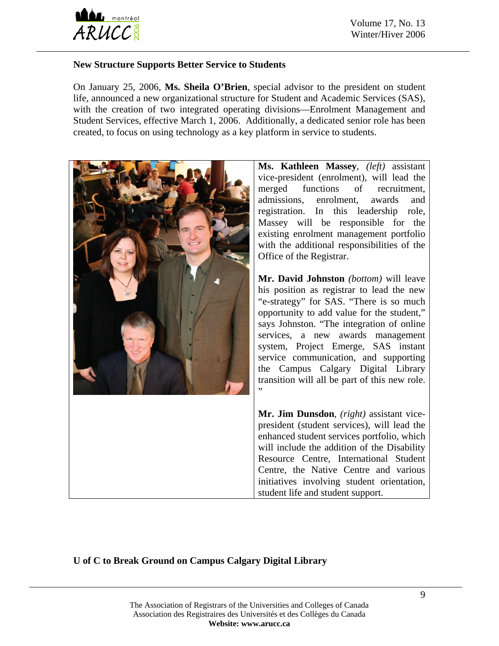

#### **New Structure Supports Better Service to Students**

On January 25, 2006, **Ms. Sheila O'Brien**, special advisor to the president on student life, announced a new organizational structure for Student and Academic Services (SAS), with the creation of two integrated operating divisions—Enrolment Management and Student Services, effective March 1, 2006. Additionally, a dedicated senior role has been created, to focus on using technology as a key platform in service to students.



**Ms. Kathleen Massey***, (left)* assistant vice-president (enrolment), will lead the merged functions of recruitment, admissions, enrolment, awards and registration. In this leadership role, Massey will be responsible for the existing enrolment management portfolio with the additional responsibilities of the Office of the Registrar.

**Mr. David Johnston** *(bottom)* will leave his position as registrar to lead the new "e-strategy" for SAS. "There is so much opportunity to add value for the student," says Johnston. "The integration of online services, a new awards management system, Project Emerge, SAS instant service communication, and supporting the Campus Calgary Digital Library transition will all be part of this new role.

**Mr. Jim Dunsdon**, *(right)* assistant vicepresident (student services), will lead the enhanced student services portfolio, which will include the addition of the Disability Resource Centre, International Student Centre, the Native Centre and various initiatives involving student orientation, student life and student support.

## **U of C to Break Ground on Campus Calgary Digital Library**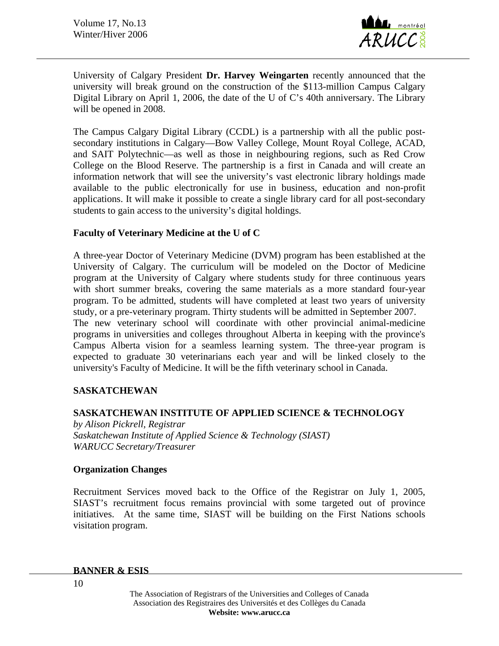

University of Calgary President **Dr. Harvey Weingarten** recently announced that the university will break ground on the construction of the \$113-million Campus Calgary Digital Library on April 1, 2006, the date of the U of C's 40th anniversary. The Library will be opened in 2008.

The Campus Calgary Digital Library (CCDL) is a partnership with all the public postsecondary institutions in Calgary—Bow Valley College, Mount Royal College, ACAD, and SAIT Polytechnic—as well as those in neighbouring regions, such as Red Crow College on the Blood Reserve. The partnership is a first in Canada and will create an information network that will see the university's vast electronic library holdings made available to the public electronically for use in business, education and non-profit applications. It will make it possible to create a single library card for all post-secondary students to gain access to the university's digital holdings.

#### **Faculty of Veterinary Medicine at the U of C**

A three-year Doctor of Veterinary Medicine (DVM) program has been established at the University of Calgary. The curriculum will be modeled on the Doctor of Medicine program at the University of Calgary where students study for three continuous years with short summer breaks, covering the same materials as a more standard four-year program. To be admitted, students will have completed at least two years of university study, or a pre-veterinary program. Thirty students will be admitted in September 2007. The new veterinary school will coordinate with other provincial animal-medicine programs in universities and colleges throughout Alberta in keeping with the province's Campus Alberta vision for a seamless learning system. The three-year program is expected to graduate 30 veterinarians each year and will be linked closely to the university's Faculty of Medicine. It will be the fifth veterinary school in Canada.

#### **SASKATCHEWAN**

#### **SASKATCHEWAN INSTITUTE OF APPLIED SCIENCE & TECHNOLOGY**

*by Alison Pickrell, Registrar Saskatchewan Institute of Applied Science & Technology (SIAST) WARUCC Secretary/Treasurer* 

#### **Organization Changes**

Recruitment Services moved back to the Office of the Registrar on July 1, 2005, SIAST's recruitment focus remains provincial with some targeted out of province initiatives. At the same time, SIAST will be building on the First Nations schools visitation program.

#### **BANNER & ESIS**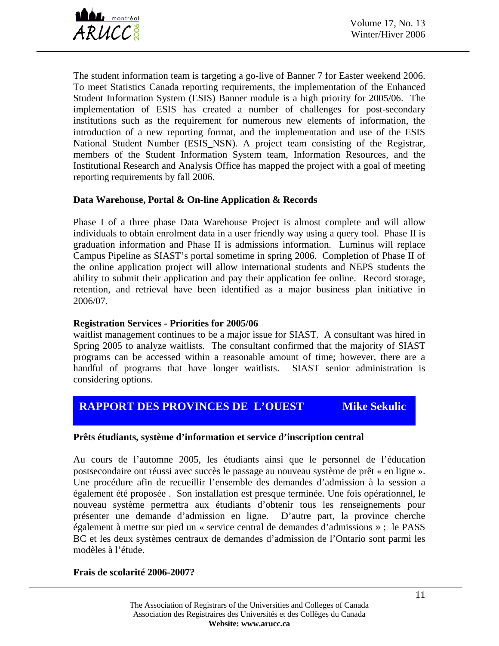

The student information team is targeting a go-live of Banner 7 for Easter weekend 2006. To meet Statistics Canada reporting requirements, the implementation of the Enhanced Student Information System (ESIS) Banner module is a high priority for 2005/06. The implementation of ESIS has created a number of challenges for post-secondary institutions such as the requirement for numerous new elements of information, the introduction of a new reporting format, and the implementation and use of the ESIS National Student Number (ESIS\_NSN). A project team consisting of the Registrar, members of the Student Information System team, Information Resources, and the Institutional Research and Analysis Office has mapped the project with a goal of meeting reporting requirements by fall 2006.

#### **Data Warehouse, Portal & On-line Application & Records**

Phase I of a three phase Data Warehouse Project is almost complete and will allow individuals to obtain enrolment data in a user friendly way using a query tool. Phase II is graduation information and Phase II is admissions information. Luminus will replace Campus Pipeline as SIAST's portal sometime in spring 2006. Completion of Phase II of the online application project will allow international students and NEPS students the ability to submit their application and pay their application fee online. Record storage, retention, and retrieval have been identified as a major business plan initiative in 2006/07.

#### **Registration Services - Priorities for 2005/06**

waitlist management continues to be a major issue for SIAST. A consultant was hired in Spring 2005 to analyze waitlists. The consultant confirmed that the majority of SIAST programs can be accessed within a reasonable amount of time; however, there are a handful of programs that have longer waitlists. SIAST senior administration is considering options.

# **RAPPORT DES PROVINCES DEL'OUEST Mike Sekulic**

#### **Prêts étudiants, système d'information et service d'inscription central**

Au cours de l'automne 2005, les étudiants ainsi que le personnel de l'éducation postsecondaire ont réussi avec succès le passage au nouveau système de prêt « en ligne ». Une procédure afin de recueillir l'ensemble des demandes d'admission à la session a également été proposée . Son installation est presque terminée. Une fois opérationnel, le nouveau système permettra aux étudiants d'obtenir tous les renseignements pour présenter une demande d'admission en ligne. D'autre part, la province cherche également à mettre sur pied un « service central de demandes d'admissions » ; le PASS BC et les deux systèmes centraux de demandes d'admission de l'Ontario sont parmi les modèles à l'étude.

#### **Frais de scolarité 2006-2007?**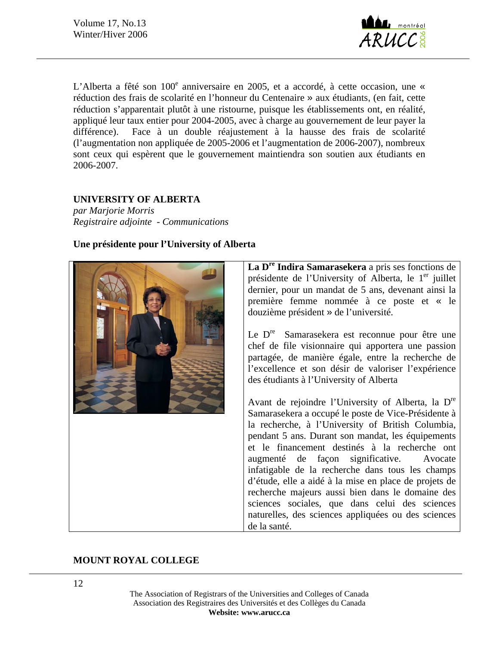Volume 17, No.13 Winter/Hiver 2006



L'Alberta a fêté son 100<sup>e</sup> anniversaire en 2005, et a accordé, à cette occasion, une « réduction des frais de scolarité en l'honneur du Centenaire » aux étudiants, (en fait, cette réduction s'apparentait plutôt à une ristourne, puisque les établissements ont, en réalité, appliqué leur taux entier pour 2004-2005, avec à charge au gouvernement de leur payer la différence). Face à un double réajustement à la hausse des frais de scolarité (l'augmentation non appliquée de 2005-2006 et l'augmentation de 2006-2007), nombreux sont ceux qui espèrent que le gouvernement maintiendra son soutien aux étudiants en 2006-2007.

#### **UNIVERSITY OF ALBERTA**

*par Marjorie Morris Registraire adjointe - Communications* 

#### **Une présidente pour l'University of Alberta**



La D<sup>re</sup> Indira Samarasekera a pris ses fonctions de présidente de l'University of Alberta, le  $1<sup>er</sup>$  juillet dernier, pour un mandat de 5 ans, devenant ainsi la première femme nommée à ce poste et « le douzième président » de l'université.

Le D<sup>re</sup> Samarasekera est reconnue pour être une chef de file visionnaire qui apportera une passion partagée, de manière égale, entre la recherche de l'excellence et son désir de valoriser l'expérience des étudiants à l'University of Alberta

Avant de rejoindre l'University of Alberta, la Dre Samarasekera a occupé le poste de Vice-Présidente à la recherche, à l'University of British Columbia, pendant 5 ans. Durant son mandat, les équipements et le financement destinés à la recherche ont augmenté de façon significative. Avocate infatigable de la recherche dans tous les champs d'étude, elle a aidé à la mise en place de projets de recherche majeurs aussi bien dans le domaine des sciences sociales, que dans celui des sciences naturelles, des sciences appliquées ou des sciences de la santé.

#### **MOUNT ROYAL COLLEGE**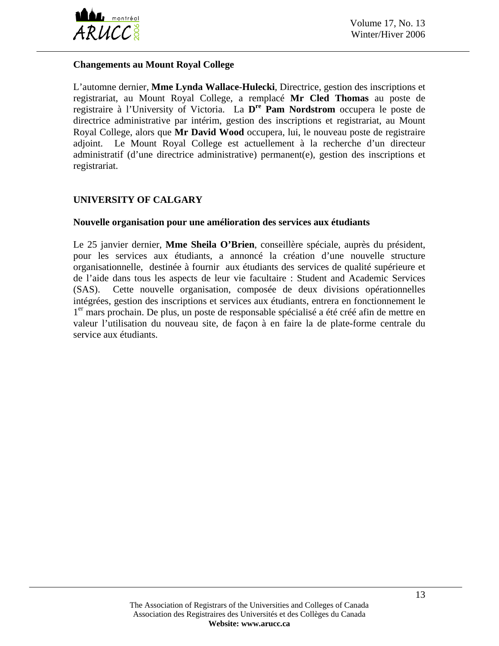

#### **Changements au Mount Royal College**

L'automne dernier, **Mme Lynda Wallace-Hulecki**, Directrice, gestion des inscriptions et registrariat, au Mount Royal College, a remplacé **Mr Cled Thomas** au poste de registraire à l'University of Victoria. La **Dre Pam Nordstrom** occupera le poste de directrice administrative par intérim, gestion des inscriptions et registrariat, au Mount Royal College, alors que **Mr David Wood** occupera, lui, le nouveau poste de registraire adjoint. Le Mount Royal College est actuellement à la recherche d'un directeur administratif (d'une directrice administrative) permanent(e), gestion des inscriptions et registrariat.

### **UNIVERSITY OF CALGARY**

#### **Nouvelle organisation pour une amélioration des services aux étudiants**

Le 25 janvier dernier, **Mme Sheila O'Brien**, conseillère spéciale, auprès du président, pour les services aux étudiants, a annoncé la création d'une nouvelle structure organisationnelle, destinée à fournir aux étudiants des services de qualité supérieure et de l'aide dans tous les aspects de leur vie facultaire : Student and Academic Services (SAS). Cette nouvelle organisation, composée de deux divisions opérationnelles intégrées, gestion des inscriptions et services aux étudiants, entrera en fonctionnement le 1<sup>er</sup> mars prochain. De plus, un poste de responsable spécialisé a été créé afin de mettre en valeur l'utilisation du nouveau site, de façon à en faire la de plate-forme centrale du service aux étudiants.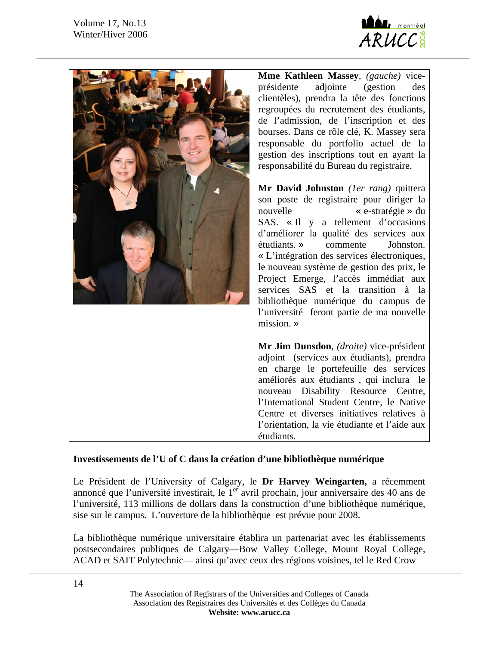

| Mme Kathleen Massey, (gauche) vice-<br>présidente<br>adjointe<br>(gestion)<br>des<br>clientèles), prendra la tête des fonctions<br>regroupées du recrutement des étudiants,<br>de l'admission, de l'inscription et des<br>bourses. Dans ce rôle clé, K. Massey sera<br>responsable du portfolio actuel de la<br>gestion des inscriptions tout en ayant la<br>responsabilité du Bureau du registraire.<br>Mr David Johnston (ler rang) quittera<br>son poste de registraire pour diriger la<br>nouvelle<br>« e-stratégie » du<br>SAS. «Il y a tellement d'occasions<br>d'améliorer la qualité des services aux<br>étudiants. »<br>Johnston.<br>commente<br>« L'intégration des services électroniques,<br>le nouveau système de gestion des prix, le<br>Project Emerge, l'accès immédiat aux<br>services SAS et la transition à la<br>bibliothèque numérique du campus de<br>l'université feront partie de ma nouvelle<br>mission. » |
|-------------------------------------------------------------------------------------------------------------------------------------------------------------------------------------------------------------------------------------------------------------------------------------------------------------------------------------------------------------------------------------------------------------------------------------------------------------------------------------------------------------------------------------------------------------------------------------------------------------------------------------------------------------------------------------------------------------------------------------------------------------------------------------------------------------------------------------------------------------------------------------------------------------------------------------|
| Mr Jim Dunsdon, (droite) vice-président<br>adjoint (services aux étudiants), prendra<br>en charge le portefeuille des services<br>améliorés aux étudiants, qui inclura le<br>nouveau Disability Resource Centre,<br>l'International Student Centre, le Native<br>Centre et diverses initiatives relatives à<br>l'orientation, la vie étudiante et l'aide aux<br>étudiants.                                                                                                                                                                                                                                                                                                                                                                                                                                                                                                                                                          |

#### **Investissements de l'U of C dans la création d'une bibliothèque numérique**

Le Président de l'University of Calgary, le **Dr Harvey Weingarten,** a récemment annoncé que l'université investirait, le 1<sup>er</sup> avril prochain, jour anniversaire des 40 ans de l'université, 113 millions de dollars dans la construction d'une bibliothèque numérique, sise sur le campus. L'ouverture de la bibliothèque est prévue pour 2008.

La bibliothèque numérique universitaire établira un partenariat avec les établissements postsecondaires publiques de Calgary—Bow Valley College, Mount Royal College, ACAD et SAIT Polytechnic— ainsi qu'avec ceux des régions voisines, tel le Red Crow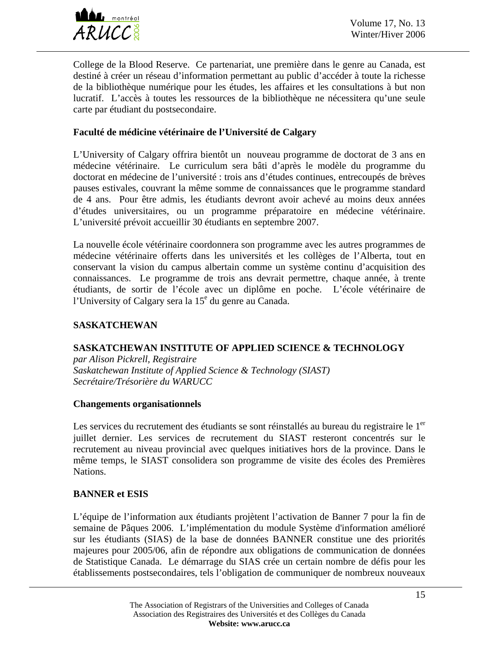

College de la Blood Reserve. Ce partenariat, une première dans le genre au Canada, est destiné à créer un réseau d'information permettant au public d'accéder à toute la richesse de la bibliothèque numérique pour les études, les affaires et les consultations à but non lucratif. L'accès à toutes les ressources de la bibliothèque ne nécessitera qu'une seule carte par étudiant du postsecondaire.

### **Faculté de médicine vétérinaire de l'Université de Calgary**

L'University of Calgary offrira bientôt un nouveau programme de doctorat de 3 ans en médecine vétérinaire. Le curriculum sera bâti d'après le modèle du programme du doctorat en médecine de l'université : trois ans d'études continues, entrecoupés de brèves pauses estivales, couvrant la même somme de connaissances que le programme standard de 4 ans. Pour être admis, les étudiants devront avoir achevé au moins deux années d'études universitaires, ou un programme préparatoire en médecine vétérinaire. L'université prévoit accueillir 30 étudiants en septembre 2007.

La nouvelle école vétérinaire coordonnera son programme avec les autres programmes de médecine vétérinaire offerts dans les universités et les collèges de l'Alberta, tout en conservant la vision du campus albertain comme un système continu d'acquisition des connaissances. Le programme de trois ans devrait permettre, chaque année, à trente étudiants, de sortir de l'école avec un diplôme en poche. L'école vétérinaire de l'University of Calgary sera la 15<sup>e</sup> du genre au Canada.

### **SASKATCHEWAN**

#### **SASKATCHEWAN INSTITUTE OF APPLIED SCIENCE & TECHNOLOGY**

*par Alison Pickrell, Registraire Saskatchewan Institute of Applied Science & Technology (SIAST) Secrétaire/Trésorière du WARUCC* 

#### **Changements organisationnels**

Les services du recrutement des étudiants se sont réinstallés au bureau du registraire le  $1<sup>er</sup>$ juillet dernier. Les services de recrutement du SIAST resteront concentrés sur le recrutement au niveau provincial avec quelques initiatives hors de la province. Dans le même temps, le SIAST consolidera son programme de visite des écoles des Premières Nations.

#### **BANNER et ESIS**

L'équipe de l'information aux étudiants projètent l'activation de Banner 7 pour la fin de semaine de Pâques 2006. L'implémentation du module Système d'information amélioré sur les étudiants (SIAS) de la base de données BANNER constitue une des priorités majeures pour 2005/06, afin de répondre aux obligations de communication de données de Statistique Canada. Le démarrage du SIAS crée un certain nombre de défis pour les établissements postsecondaires, tels l'obligation de communiquer de nombreux nouveaux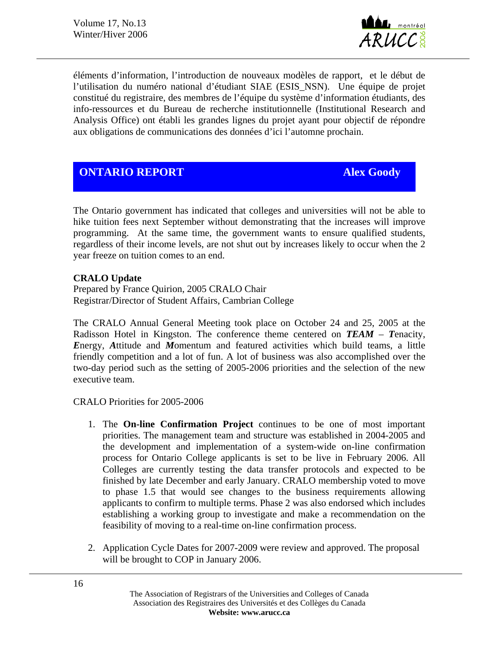Volume 17, No.13 Winter/Hiver 2006



éléments d'information, l'introduction de nouveaux modèles de rapport, et le début de l'utilisation du numéro national d'étudiant SIAE (ESIS\_NSN). Une équipe de projet constitué du registraire, des membres de l'équipe du système d'information étudiants, des info-ressources et du Bureau de recherche institutionnelle (Institutional Research and Analysis Office) ont établi les grandes lignes du projet ayant pour objectif de répondre aux obligations de communications des données d'ici l'automne prochain.

## **ONTARIO REPORT Alex Goody**

The Ontario government has indicated that colleges and universities will not be able to hike tuition fees next September without demonstrating that the increases will improve programming. At the same time, the government wants to ensure qualified students, regardless of their income levels, are not shut out by increases likely to occur when the 2 year freeze on tuition comes to an end.

#### **CRALO Update**

Prepared by France Quirion, 2005 CRALO Chair Registrar/Director of Student Affairs, Cambrian College

The CRALO Annual General Meeting took place on October 24 and 25, 2005 at the Radisson Hotel in Kingston. The conference theme centered on *TEAM* – *T*enacity, *E*nergy, *A*ttitude and *M*omentum and featured activities which build teams, a little friendly competition and a lot of fun. A lot of business was also accomplished over the two-day period such as the setting of 2005-2006 priorities and the selection of the new executive team.

#### CRALO Priorities for 2005-2006

- 1. The **On-line Confirmation Project** continues to be one of most important priorities. The management team and structure was established in 2004-2005 and the development and implementation of a system-wide on-line confirmation process for Ontario College applicants is set to be live in February 2006. All Colleges are currently testing the data transfer protocols and expected to be finished by late December and early January. CRALO membership voted to move to phase 1.5 that would see changes to the business requirements allowing applicants to confirm to multiple terms. Phase 2 was also endorsed which includes establishing a working group to investigate and make a recommendation on the feasibility of moving to a real-time on-line confirmation process.
- 2. Application Cycle Dates for 2007-2009 were review and approved. The proposal will be brought to COP in January 2006.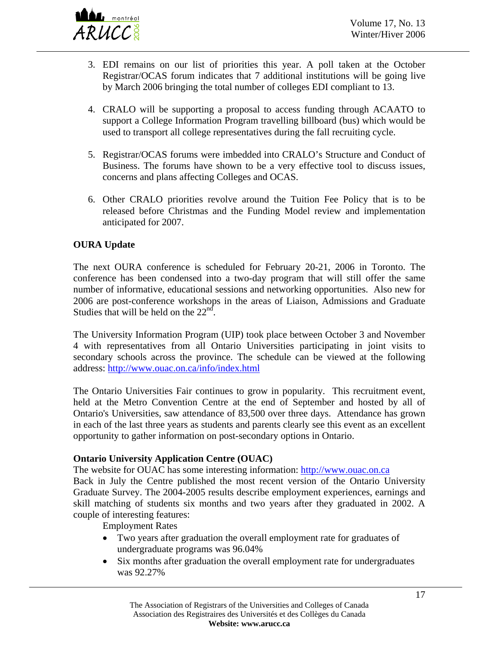

- 3. EDI remains on our list of priorities this year. A poll taken at the October Registrar/OCAS forum indicates that 7 additional institutions will be going live by March 2006 bringing the total number of colleges EDI compliant to 13.
- 4. CRALO will be supporting a proposal to access funding through ACAATO to support a College Information Program travelling billboard (bus) which would be used to transport all college representatives during the fall recruiting cycle.
- 5. Registrar/OCAS forums were imbedded into CRALO's Structure and Conduct of Business. The forums have shown to be a very effective tool to discuss issues, concerns and plans affecting Colleges and OCAS.
- 6. Other CRALO priorities revolve around the Tuition Fee Policy that is to be released before Christmas and the Funding Model review and implementation anticipated for 2007.

#### **OURA Update**

The next OURA conference is scheduled for February 20-21, 2006 in Toronto. The conference has been condensed into a two-day program that will still offer the same number of informative, educational sessions and networking opportunities. Also new for 2006 are post-conference workshops in the areas of Liaison, Admissions and Graduate Studies that will be held on the  $22<sup>nd</sup>$ .

The University Information Program (UIP) took place between October 3 and November 4 with representatives from all Ontario Universities participating in joint visits to secondary schools across the province. The schedule can be viewed at the following address:<http://www.ouac.on.ca/info/index.html>

The Ontario Universities Fair continues to grow in popularity. This recruitment event, held at the Metro Convention Centre at the end of September and hosted by all of Ontario's Universities, saw attendance of 83,500 over three days. Attendance has grown in each of the last three years as students and parents clearly see this event as an excellent opportunity to gather information on post-secondary options in Ontario.

#### **Ontario University Application Centre (OUAC)**

The website for OUAC has some interesting information: [http://www.ouac.on.ca](http://www.ouac.on.ca/) Back in July the Centre published the most recent version of the Ontario University Graduate Survey. The 2004-2005 results describe employment experiences, earnings and skill matching of students six months and two years after they graduated in 2002. A couple of interesting features:

Employment Rates

- Two years after graduation the overall employment rate for graduates of undergraduate programs was 96.04%
- Six months after graduation the overall employment rate for undergraduates was 92.27%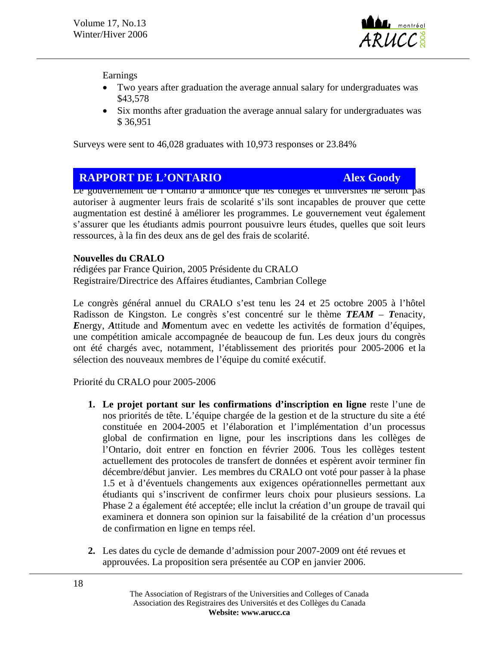

Earnings

- Two years after graduation the average annual salary for undergraduates was \$43,578
- Six months after graduation the average annual salary for undergraduates was \$ 36,951

Surveys were sent to 46,028 graduates with 10,973 responses or 23.84%

# **COUVERT DE L'ONTARIO**

Le gouvernement de l'Untario a annonce que les collèges et universités ne seront pas autoriser à augmenter leurs frais de scolarité s'ils sont incapables de prouver que cette augmentation est destiné à améliorer les programmes. Le gouvernement veut également s'assurer que les étudiants admis pourront pousuivre leurs études, quelles que soit leurs ressources, à la fin des deux ans de gel des frais de scolarité.

#### **Nouvelles du CRALO**

rédigées par France Quirion, 2005 Présidente du CRALO Registraire/Directrice des Affaires étudiantes, Cambrian College

Le congrès général annuel du CRALO s'est tenu les 24 et 25 octobre 2005 à l'hôtel Radisson de Kingston. Le congrès s'est concentré sur le thème *TEAM* – *T*enacity, *E*nergy, *A*ttitude and *M*omentum avec en vedette les activités de formation d'équipes, une compétition amicale accompagnée de beaucoup de fun. Les deux jours du congrès ont été chargés avec, notamment, l'établissement des priorités pour 2005-2006 et la sélection des nouveaux membres de l'équipe du comité exécutif.

Priorité du CRALO pour 2005-2006

- **1. Le projet portant sur les confirmations d'inscription en ligne** reste l'une de nos priorités de tête. L'équipe chargée de la gestion et de la structure du site a été constituée en 2004-2005 et l'élaboration et l'implémentation d'un processus global de confirmation en ligne, pour les inscriptions dans les collèges de l'Ontario, doit entrer en fonction en février 2006. Tous les collèges testent actuellement des protocoles de transfert de données et espèrent avoir terminer fin décembre/début janvier. Les membres du CRALO ont voté pour passer à la phase 1.5 et à d'éventuels changements aux exigences opérationnelles permettant aux étudiants qui s'inscrivent de confirmer leurs choix pour plusieurs sessions. La Phase 2 a également été acceptée; elle inclut la création d'un groupe de travail qui examinera et donnera son opinion sur la faisabilité de la création d'un processus de confirmation en ligne en temps réel.
- **2.** Les dates du cycle de demande d'admission pour 2007-2009 ont été revues et approuvées. La proposition sera présentée au COP en janvier 2006.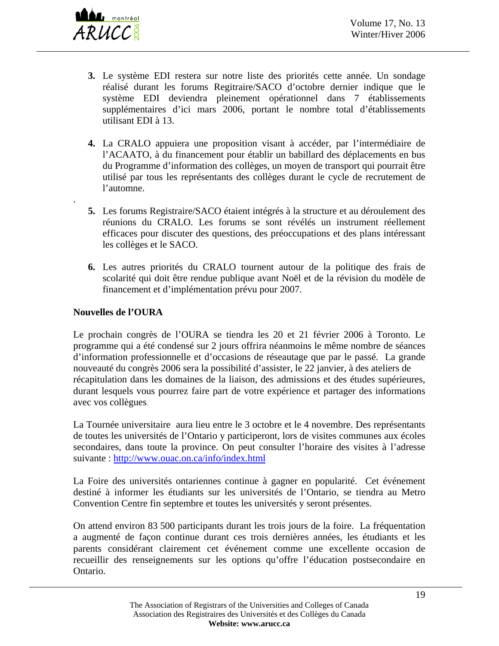- **3.** Le système EDI restera sur notre liste des priorités cette année. Un sondage réalisé durant les forums Regitraire/SACO d'octobre dernier indique que le système EDI deviendra pleinement opérationnel dans 7 établissements supplémentaires d'ici mars 2006, portant le nombre total d'établissements utilisant EDI à 13.
- **4.** La CRALO appuiera une proposition visant à accéder, par l'intermédiaire de l'ACAATO, à du financement pour établir un babillard des déplacements en bus du Programme d'information des collèges, un moyen de transport qui pourrait être utilisé par tous les représentants des collèges durant le cycle de recrutement de l'automne.
- **5.** Les forums Registraire/SACO étaient intégrés à la structure et au déroulement des réunions du CRALO. Les forums se sont révélés un instrument réellement efficaces pour discuter des questions, des préoccupations et des plans intéressant les collèges et le SACO.
- **6.** Les autres priorités du CRALO tournent autour de la politique des frais de scolarité qui doit être rendue publique avant Noël et de la révision du modèle de financement et d'implémentation prévu pour 2007.

### **Nouvelles de l'OURA**

.

Le prochain congrès de l'OURA se tiendra les 20 et 21 février 2006 à Toronto. Le programme qui a été condensé sur 2 jours offrira néanmoins le même nombre de séances d'information professionnelle et d'occasions de réseautage que par le passé. La grande nouveauté du congrès 2006 sera la possibilité d'assister, le 22 janvier, à des ateliers de récapitulation dans les domaines de la liaison, des admissions et des études supérieures, durant lesquels vous pourrez faire part de votre expérience et partager des informations avec vos collègues.

La Tournée universitaire aura lieu entre le 3 octobre et le 4 novembre. Des représentants de toutes les universités de l'Ontario y participeront, lors de visites communes aux écoles secondaires, dans toute la province. On peut consulter l'horaire des visites à l'adresse suivante :<http://www.ouac.on.ca/info/index.html>

La Foire des universités ontariennes continue à gagner en popularité. Cet événement destiné à informer les étudiants sur les universités de l'Ontario, se tiendra au Metro Convention Centre fin septembre et toutes les universités y seront présentes.

On attend environ 83 500 participants durant les trois jours de la foire. La fréquentation a augmenté de façon continue durant ces trois dernières années, les étudiants et les parents considérant clairement cet événement comme une excellente occasion de recueillir des renseignements sur les options qu'offre l'éducation postsecondaire en Ontario.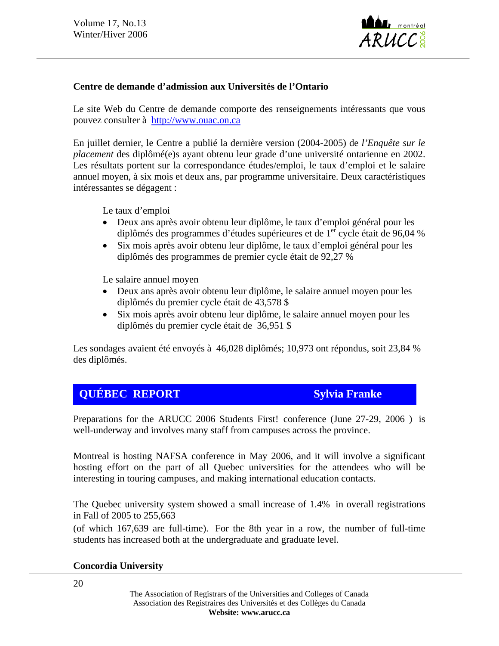

#### **Centre de demande d'admission aux Universités de l'Ontario**

Le site Web du Centre de demande comporte des renseignements intéressants que vous pouvez consulter à [http://www.ouac.on.ca](http://www.ouac.on.ca/) 

En juillet dernier, le Centre a publié la dernière version (2004-2005) de *l'Enquête sur le placement* des diplômé(e)s ayant obtenu leur grade d'une université ontarienne en 2002. Les résultats portent sur la correspondance études/emploi, le taux d'emploi et le salaire annuel moyen, à six mois et deux ans, par programme universitaire. Deux caractéristiques intéressantes se dégagent :

Le taux d'emploi

- Deux ans après avoir obtenu leur diplôme, le taux d'emploi général pour les diplômés des programmes d'études supérieures et de 1<sup>er</sup> cycle était de 96,04 %
- Six mois après avoir obtenu leur diplôme, le taux d'emploi général pour les diplômés des programmes de premier cycle était de 92,27 %

Le salaire annuel moyen

- Deux ans après avoir obtenu leur diplôme, le salaire annuel moyen pour les diplômés du premier cycle était de 43,578 \$
- Six mois après avoir obtenu leur diplôme, le salaire annuel moyen pour les diplômés du premier cycle était de 36,951 \$

Les sondages avaient été envoyés à 46,028 diplômés; 10,973 ont répondus, soit 23,84 % des diplômés.

# *QUÉBEC REPORT* Sylvia Franke

Preparations for the ARUCC 2006 Students First! conference (June 27-29, 2006 ) is well-underway and involves many staff from campuses across the province.

Montreal is hosting NAFSA conference in May 2006, and it will involve a significant hosting effort on the part of all Quebec universities for the attendees who will be interesting in touring campuses, and making international education contacts.

The Quebec university system showed a small increase of 1.4% in overall registrations in Fall of 2005 to 255,663

(of which 167,639 are full-time). For the 8th year in a row, the number of full-time students has increased both at the undergraduate and graduate level.

#### **Concordia University**

20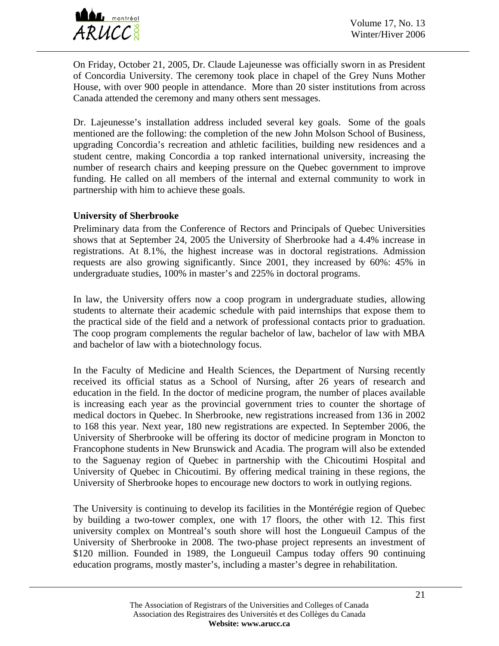

On Friday, October 21, 2005, Dr. Claude Lajeunesse was officially sworn in as President of Concordia University. The ceremony took place in chapel of the Grey Nuns Mother House, with over 900 people in attendance. More than 20 sister institutions from across Canada attended the ceremony and many others sent messages.

Dr. Lajeunesse's installation address included several key goals. Some of the goals mentioned are the following: the completion of the new John Molson School of Business, upgrading Concordia's recreation and athletic facilities, building new residences and a student centre, making Concordia a top ranked international university, increasing the number of research chairs and keeping pressure on the Quebec government to improve funding. He called on all members of the internal and external community to work in partnership with him to achieve these goals.

#### **University of Sherbrooke**

Preliminary data from the Conference of Rectors and Principals of Quebec Universities shows that at September 24, 2005 the University of Sherbrooke had a 4.4% increase in registrations. At 8.1%, the highest increase was in doctoral registrations. Admission requests are also growing significantly. Since 2001, they increased by 60%: 45% in undergraduate studies, 100% in master's and 225% in doctoral programs.

In law, the University offers now a coop program in undergraduate studies, allowing students to alternate their academic schedule with paid internships that expose them to the practical side of the field and a network of professional contacts prior to graduation. The coop program complements the regular bachelor of law, bachelor of law with MBA and bachelor of law with a biotechnology focus.

In the Faculty of Medicine and Health Sciences, the Department of Nursing recently received its official status as a School of Nursing, after 26 years of research and education in the field. In the doctor of medicine program, the number of places available is increasing each year as the provincial government tries to counter the shortage of medical doctors in Quebec. In Sherbrooke, new registrations increased from 136 in 2002 to 168 this year. Next year, 180 new registrations are expected. In September 2006, the University of Sherbrooke will be offering its doctor of medicine program in Moncton to Francophone students in New Brunswick and Acadia. The program will also be extended to the Saguenay region of Quebec in partnership with the Chicoutimi Hospital and University of Quebec in Chicoutimi. By offering medical training in these regions, the University of Sherbrooke hopes to encourage new doctors to work in outlying regions.

The University is continuing to develop its facilities in the Montérégie region of Quebec by building a two-tower complex, one with 17 floors, the other with 12. This first university complex on Montreal's south shore will host the Longueuil Campus of the University of Sherbrooke in 2008. The two-phase project represents an investment of \$120 million. Founded in 1989, the Longueuil Campus today offers 90 continuing education programs, mostly master's, including a master's degree in rehabilitation.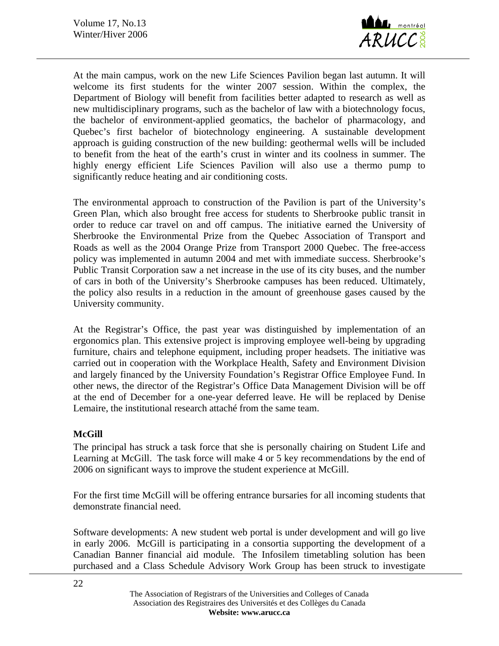

At the main campus, work on the new Life Sciences Pavilion began last autumn. It will welcome its first students for the winter 2007 session. Within the complex, the Department of Biology will benefit from facilities better adapted to research as well as new multidisciplinary programs, such as the bachelor of law with a biotechnology focus, the bachelor of environment-applied geomatics, the bachelor of pharmacology, and Quebec's first bachelor of biotechnology engineering. A sustainable development approach is guiding construction of the new building: geothermal wells will be included to benefit from the heat of the earth's crust in winter and its coolness in summer. The highly energy efficient Life Sciences Pavilion will also use a thermo pump to significantly reduce heating and air conditioning costs.

The environmental approach to construction of the Pavilion is part of the University's Green Plan, which also brought free access for students to Sherbrooke public transit in order to reduce car travel on and off campus. The initiative earned the University of Sherbrooke the Environmental Prize from the Quebec Association of Transport and Roads as well as the 2004 Orange Prize from Transport 2000 Quebec. The free-access policy was implemented in autumn 2004 and met with immediate success. Sherbrooke's Public Transit Corporation saw a net increase in the use of its city buses, and the number of cars in both of the University's Sherbrooke campuses has been reduced. Ultimately, the policy also results in a reduction in the amount of greenhouse gases caused by the University community.

At the Registrar's Office, the past year was distinguished by implementation of an ergonomics plan. This extensive project is improving employee well-being by upgrading furniture, chairs and telephone equipment, including proper headsets. The initiative was carried out in cooperation with the Workplace Health, Safety and Environment Division and largely financed by the University Foundation's Registrar Office Employee Fund. In other news, the director of the Registrar's Office Data Management Division will be off at the end of December for a one-year deferred leave. He will be replaced by Denise Lemaire, the institutional research attaché from the same team.

#### **McGill**

The principal has struck a task force that she is personally chairing on Student Life and Learning at McGill. The task force will make 4 or 5 key recommendations by the end of 2006 on significant ways to improve the student experience at McGill.

For the first time McGill will be offering entrance bursaries for all incoming students that demonstrate financial need.

Software developments: A new student web portal is under development and will go live in early 2006. McGill is participating in a consortia supporting the development of a Canadian Banner financial aid module. The Infosilem timetabling solution has been purchased and a Class Schedule Advisory Work Group has been struck to investigate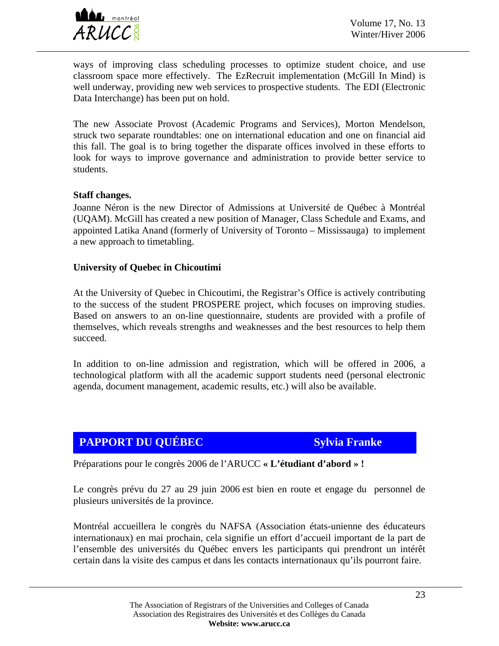

ways of improving class scheduling processes to optimize student choice, and use classroom space more effectively. The EzRecruit implementation (McGill In Mind) is well underway, providing new web services to prospective students. The EDI (Electronic Data Interchange) has been put on hold.

The new Associate Provost (Academic Programs and Services), Morton Mendelson, struck two separate roundtables: one on international education and one on financial aid this fall. The goal is to bring together the disparate offices involved in these efforts to look for ways to improve governance and administration to provide better service to students.

#### **Staff changes.**

Joanne Néron is the new Director of Admissions at Université de Québec à Montréal (UQAM). McGill has created a new position of Manager, Class Schedule and Exams, and appointed Latika Anand (formerly of University of Toronto – Mississauga) to implement a new approach to timetabling.

#### **University of Quebec in Chicoutimi**

At the University of Quebec in Chicoutimi, the Registrar's Office is actively contributing to the success of the student PROSPERE project, which focuses on improving studies. Based on answers to an on-line questionnaire, students are provided with a profile of themselves, which reveals strengths and weaknesses and the best resources to help them succeed.

In addition to on-line admission and registration, which will be offered in 2006, a technological platform with all the academic support students need (personal electronic agenda, document management, academic results, etc.) will also be available.

# **PAPPORT DU QUÉBEC** Sylvia **Franke**

Préparations pour le congrès 2006 de l'ARUCC **« L'étudiant d'abord » !**

Le congrès prévu du 27 au 29 juin 2006 est bien en route et engage du personnel de plusieurs universités de la province.

Montréal accueillera le congrès du NAFSA (Association états-unienne des éducateurs internationaux) en mai prochain, cela signifie un effort d'accueil important de la part de l'ensemble des universités du Québec envers les participants qui prendront un intérêt certain dans la visite des campus et dans les contacts internationaux qu'ils pourront faire.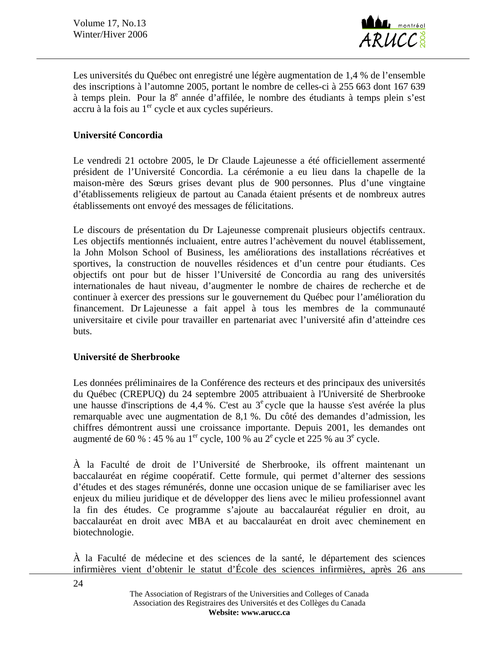

Les universités du Québec ont enregistré une légère augmentation de 1,4 % de l'ensemble des inscriptions à l'automne 2005, portant le nombre de celles-ci à 255 663 dont 167 639 à temps plein. Pour la 8<sup>e</sup> année d'affilée, le nombre des étudiants à temps plein s'est accru à la fois au  $1<sup>er</sup>$  cycle et aux cycles supérieurs.

#### **Université Concordia**

Le vendredi 21 octobre 2005, le Dr Claude Lajeunesse a été officiellement assermenté président de l'Université Concordia. La cérémonie a eu lieu dans la chapelle de la maison-mère des Sœurs grises devant plus de 900 personnes. Plus d'une vingtaine d'établissements religieux de partout au Canada étaient présents et de nombreux autres établissements ont envoyé des messages de félicitations.

Le discours de présentation du Dr Lajeunesse comprenait plusieurs objectifs centraux. Les objectifs mentionnés incluaient, entre autres l'achèvement du nouvel établissement, la John Molson School of Business, les améliorations des installations récréatives et sportives, la construction de nouvelles résidences et d'un centre pour étudiants. Ces objectifs ont pour but de hisser l'Université de Concordia au rang des universités internationales de haut niveau, d'augmenter le nombre de chaires de recherche et de continuer à exercer des pressions sur le gouvernement du Québec pour l'amélioration du financement. Dr Lajeunesse a fait appel à tous les membres de la communauté universitaire et civile pour travailler en partenariat avec l'université afin d'atteindre ces buts.

#### **Université de Sherbrooke**

Les données préliminaires de la Conférence des recteurs et des principaux des universités du Québec (CREPUQ) du 24 septembre 2005 attribuaient à l'Université de Sherbrooke une hausse d'inscriptions de 4,4 %. C'est au  $3^e$  cycle que la hausse s'est avérée la plus remarquable avec une augmentation de 8,1 %. Du côté des demandes d'admission, les chiffres démontrent aussi une croissance importante. Depuis 2001, les demandes ont augmenté de 60 % : 45 % au 1<sup>er</sup> cycle, 100 % au 2<sup>e</sup> cycle et 225 % au 3<sup>e</sup> cycle.

À la Faculté de droit de l'Université de Sherbrooke, ils offrent maintenant un baccalauréat en régime coopératif. Cette formule, qui permet d'alterner des sessions d'études et des stages rémunérés, donne une occasion unique de se familiariser avec les enjeux du milieu juridique et de développer des liens avec le milieu professionnel avant la fin des études. Ce programme s'ajoute au baccalauréat régulier en droit, au baccalauréat en droit avec MBA et au baccalauréat en droit avec cheminement en biotechnologie.

À la Faculté de médecine et des sciences de la santé, le département des sciences infirmières vient d'obtenir le statut d'École des sciences infirmières, après 26 ans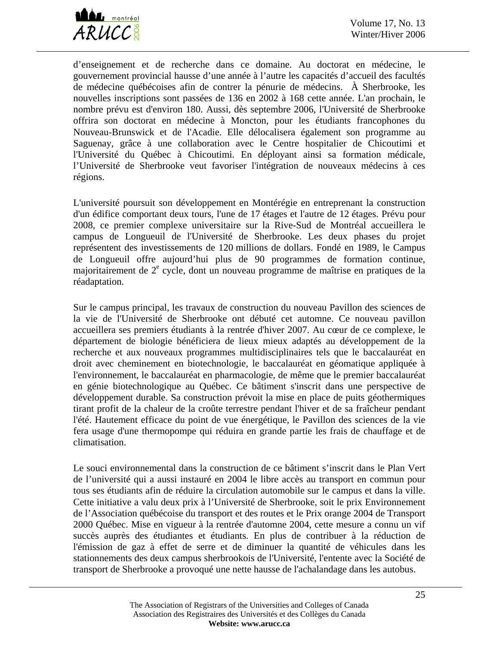

d'enseignement et de recherche dans ce domaine. Au doctorat en médecine, le gouvernement provincial hausse d'une année à l'autre les capacités d'accueil des facultés de médecine québécoises afin de contrer la pénurie de médecins. À Sherbrooke, les nouvelles inscriptions sont passées de 136 en 2002 à 168 cette année. L'an prochain, le nombre prévu est d'environ 180. Aussi, dès septembre 2006, l'Université de Sherbrooke offrira son doctorat en médecine à Moncton, pour les étudiants francophones du Nouveau-Brunswick et de l'Acadie. Elle délocalisera également son programme au Saguenay, grâce à une collaboration avec le Centre hospitalier de Chicoutimi et l'Université du Québec à Chicoutimi. En déployant ainsi sa formation médicale, l'Université de Sherbrooke veut favoriser l'intégration de nouveaux médecins à ces régions.

L'université poursuit son développement en Montérégie en entreprenant la construction d'un édifice comportant deux tours, l'une de 17 étages et l'autre de 12 étages. Prévu pour 2008, ce premier complexe universitaire sur la Rive-Sud de Montréal accueillera le campus de Longueuil de l'Université de Sherbrooke. Les deux phases du projet représentent des investissements de 120 millions de dollars. Fondé en 1989, le Campus de Longueuil offre aujourd'hui plus de 90 programmes de formation continue, majoritairement de 2<sup>e</sup> cycle, dont un nouveau programme de maîtrise en pratiques de la réadaptation.

Sur le campus principal, les travaux de construction du nouveau Pavillon des sciences de la vie de l'Université de Sherbrooke ont débuté cet automne. Ce nouveau pavillon accueillera ses premiers étudiants à la rentrée d'hiver 2007. Au cœur de ce complexe, le département de biologie bénéficiera de lieux mieux adaptés au développement de la recherche et aux nouveaux programmes multidisciplinaires tels que le baccalauréat en droit avec cheminement en biotechnologie, le baccalauréat en géomatique appliquée à l'environnement, le baccalauréat en pharmacologie, de même que le premier baccalauréat en génie biotechnologique au Québec. Ce bâtiment s'inscrit dans une perspective de développement durable. Sa construction prévoit la mise en place de puits géothermiques tirant profit de la chaleur de la croûte terrestre pendant l'hiver et de sa fraîcheur pendant l'été. Hautement efficace du point de vue énergétique, le Pavillon des sciences de la vie fera usage d'une thermopompe qui réduira en grande partie les frais de chauffage et de climatisation.

Le souci environnemental dans la construction de ce bâtiment s'inscrit dans le Plan Vert de l'université qui a aussi instauré en 2004 le libre accès au transport en commun pour tous ses étudiants afin de réduire la circulation automobile sur le campus et dans la ville. Cette initiative a valu deux prix à l'Université de Sherbrooke, soit le prix Environnement de l'Association québécoise du transport et des routes et le Prix orange 2004 de Transport 2000 Québec. Mise en vigueur à la rentrée d'automne 2004, cette mesure a connu un vif succès auprès des étudiantes et étudiants. En plus de contribuer à la réduction de l'émission de gaz à effet de serre et de diminuer la quantité de véhicules dans les stationnements des deux campus sherbrookois de l'Université, l'entente avec la Société de transport de Sherbrooke a provoqué une nette hausse de l'achalandage dans les autobus.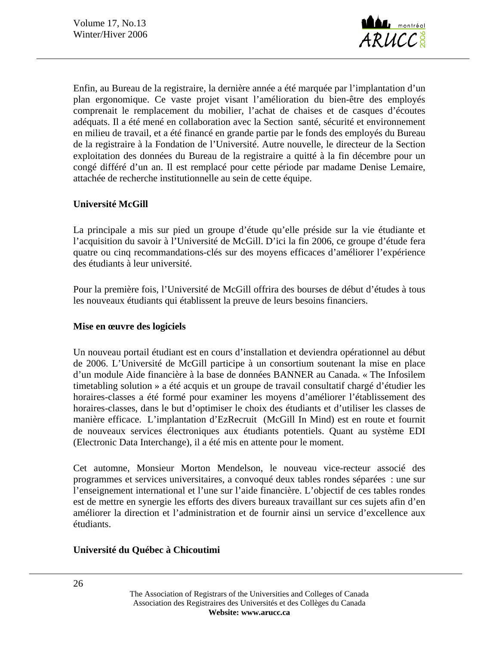

Enfin, au Bureau de la registraire, la dernière année a été marquée par l'implantation d'un plan ergonomique. Ce vaste projet visant l'amélioration du bien-être des employés comprenait le remplacement du mobilier, l'achat de chaises et de casques d'écoutes adéquats. Il a été mené en collaboration avec la Section santé, sécurité et environnement en milieu de travail, et a été financé en grande partie par le fonds des employés du Bureau de la registraire à la Fondation de l'Université. Autre nouvelle, le directeur de la Section exploitation des données du Bureau de la registraire a quitté à la fin décembre pour un congé différé d'un an. Il est remplacé pour cette période par madame Denise Lemaire, attachée de recherche institutionnelle au sein de cette équipe.

### **Université McGill**

La principale a mis sur pied un groupe d'étude qu'elle préside sur la vie étudiante et l'acquisition du savoir à l'Université de McGill. D'ici la fin 2006, ce groupe d'étude fera quatre ou cinq recommandations-clés sur des moyens efficaces d'améliorer l'expérience des étudiants à leur université.

Pour la première fois, l'Université de McGill offrira des bourses de début d'études à tous les nouveaux étudiants qui établissent la preuve de leurs besoins financiers.

#### **Mise en œuvre des logiciels**

Un nouveau portail étudiant est en cours d'installation et deviendra opérationnel au début de 2006. L'Université de McGill participe à un consortium soutenant la mise en place d'un module Aide financière à la base de données BANNER au Canada. « The Infosilem timetabling solution » a été acquis et un groupe de travail consultatif chargé d'étudier les horaires-classes a été formé pour examiner les moyens d'améliorer l'établissement des horaires-classes, dans le but d'optimiser le choix des étudiants et d'utiliser les classes de manière efficace. L'implantation d'EzRecruit (McGill In Mind) est en route et fournit de nouveaux services électroniques aux étudiants potentiels. Quant au système EDI (Electronic Data Interchange), il a été mis en attente pour le moment.

Cet automne, Monsieur Morton Mendelson, le nouveau vice-recteur associé des programmes et services universitaires, a convoqué deux tables rondes séparées : une sur l'enseignement international et l'une sur l'aide financière. L'objectif de ces tables rondes est de mettre en synergie les efforts des divers bureaux travaillant sur ces sujets afin d'en améliorer la direction et l'administration et de fournir ainsi un service d'excellence aux étudiants.

## **Université du Québec à Chicoutimi**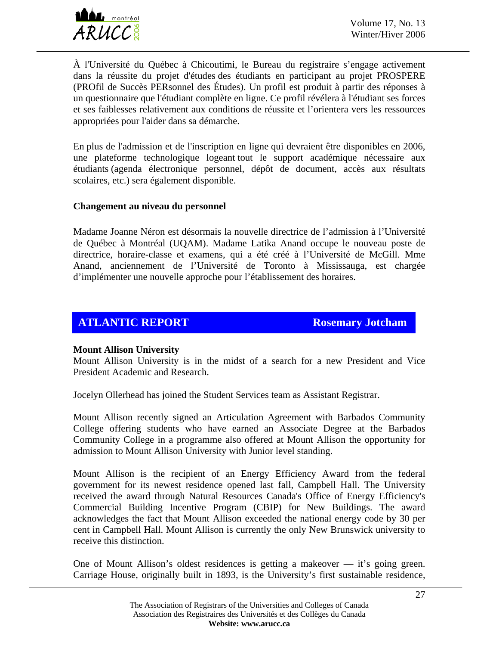

À l'Université du Québec à Chicoutimi, le Bureau du registraire s'engage activement dans la réussite du projet d'études des étudiants en participant au projet PROSPERE (PROfil de Succès PERsonnel des Études). Un profil est produit à partir des réponses à un questionnaire que l'étudiant complète en ligne. Ce profil révélera à l'étudiant ses forces et ses faiblesses relativement aux conditions de réussite et l'orientera vers les ressources appropriées pour l'aider dans sa démarche.

En plus de l'admission et de l'inscription en ligne qui devraient être disponibles en 2006, une plateforme technologique logeant tout le support académique nécessaire aux étudiants (agenda électronique personnel, dépôt de document, accès aux résultats scolaires, etc.) sera également disponible.

#### **Changement au niveau du personnel**

Madame Joanne Néron est désormais la nouvelle directrice de l'admission à l'Université de Québec à Montréal (UQAM). Madame Latika Anand occupe le nouveau poste de directrice, horaire-classe et examens, qui a été créé à l'Université de McGill. Mme Anand, anciennement de l'Université de Toronto à Mississauga, est chargée d'implémenter une nouvelle approche pour l'établissement des horaires.

# **ATLANTIC REPORT ROSEMAN ROSEMAY Jotcham**

#### **Mount Allison University**

Mount Allison University is in the midst of a search for a new President and Vice President Academic and Research.

Jocelyn Ollerhead has joined the Student Services team as Assistant Registrar.

Mount Allison recently signed an Articulation Agreement with Barbados Community College offering students who have earned an Associate Degree at the Barbados Community College in a programme also offered at Mount Allison the opportunity for admission to Mount Allison University with Junior level standing.

Mount Allison is the recipient of an Energy Efficiency Award from the federal government for its newest residence opened last fall, Campbell Hall. The University received the award through Natural Resources Canada's Office of Energy Efficiency's Commercial Building Incentive Program (CBIP) for New Buildings. The award acknowledges the fact that Mount Allison exceeded the national energy code by 30 per cent in Campbell Hall. Mount Allison is currently the only New Brunswick university to receive this distinction.

One of Mount Allison's oldest residences is getting a makeover  $-$  it's going green. Carriage House, originally built in 1893, is the University's first sustainable residence,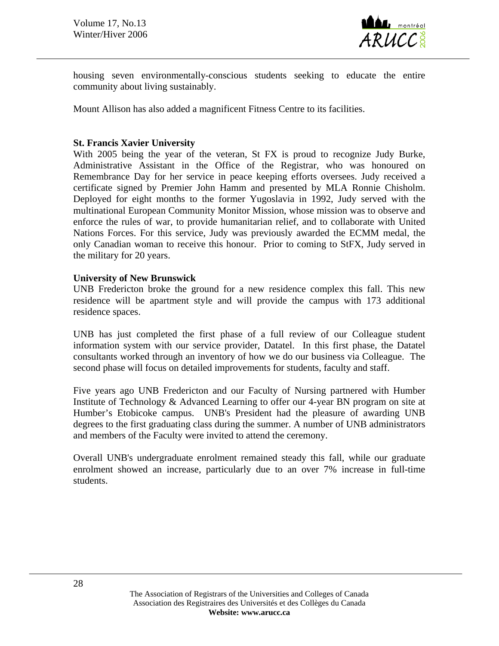

housing seven environmentally-conscious students seeking to educate the entire community about living sustainably.

Mount Allison has also added a magnificent Fitness Centre to its facilities.

#### **St. Francis Xavier University**

With 2005 being the year of the veteran, St FX is proud to recognize Judy Burke, Administrative Assistant in the Office of the Registrar, who was honoured on Remembrance Day for her service in peace keeping efforts oversees. Judy received a certificate signed by Premier John Hamm and presented by MLA Ronnie Chisholm. Deployed for eight months to the former Yugoslavia in 1992, Judy served with the multinational European Community Monitor Mission, whose mission was to observe and enforce the rules of war, to provide humanitarian relief, and to collaborate with United Nations Forces. For this service, Judy was previously awarded the ECMM medal, the only Canadian woman to receive this honour. Prior to coming to StFX, Judy served in the military for 20 years.

#### **University of New Brunswick**

UNB Fredericton broke the ground for a new residence complex this fall. This new residence will be apartment style and will provide the campus with 173 additional residence spaces.

UNB has just completed the first phase of a full review of our Colleague student information system with our service provider, Datatel. In this first phase, the Datatel consultants worked through an inventory of how we do our business via Colleague. The second phase will focus on detailed improvements for students, faculty and staff.

Five years ago UNB Fredericton and our Faculty of Nursing partnered with Humber Institute of Technology & Advanced Learning to offer our 4-year BN program on site at Humber's Etobicoke campus. UNB's President had the pleasure of awarding UNB degrees to the first graduating class during the summer. A number of UNB administrators and members of the Faculty were invited to attend the ceremony.

Overall UNB's undergraduate enrolment remained steady this fall, while our graduate enrolment showed an increase, particularly due to an over 7% increase in full-time students.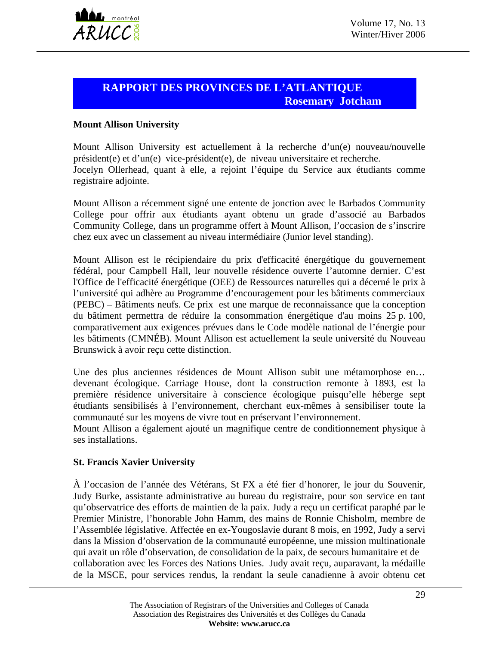

## **RAPPORT DES PROVINCES DE L'ATLANTIQUE Rosemary Jotcham**

#### **Mount Allison University**

Mount Allison University est actuellement à la recherche d'un(e) nouveau/nouvelle président(e) et d'un(e) vice-président(e), de niveau universitaire et recherche. Jocelyn Ollerhead, quant à elle, a rejoint l'équipe du Service aux étudiants comme registraire adjointe.

Mount Allison a récemment signé une entente de jonction avec le Barbados Community College pour offrir aux étudiants ayant obtenu un grade d'associé au Barbados Community College, dans un programme offert à Mount Allison, l'occasion de s'inscrire chez eux avec un classement au niveau intermédiaire (Junior level standing).

Mount Allison est le récipiendaire du prix d'efficacité énergétique du gouvernement fédéral, pour Campbell Hall, leur nouvelle résidence ouverte l'automne dernier. C'est l'Office de l'efficacité énergétique (OEE) de Ressources naturelles qui a décerné le prix à l'université qui adhère au Programme d'encouragement pour les bâtiments commerciaux (PEBC) – Bâtiments neufs. Ce prix est une marque de reconnaissance que la conception du bâtiment permettra de réduire la consommation énergétique d'au moins 25 p. 100, comparativement aux exigences prévues dans le Code modèle national de l'énergie pour les bâtiments (CMNÉB). Mount Allison est actuellement la seule université du Nouveau Brunswick à avoir reçu cette distinction.

Une des plus anciennes résidences de Mount Allison subit une métamorphose en… devenant écologique. Carriage House, dont la construction remonte à 1893, est la première résidence universitaire à conscience écologique puisqu'elle héberge sept étudiants sensibilisés à l'environnement, cherchant eux-mêmes à sensibiliser toute la communauté sur les moyens de vivre tout en préservant l'environnement.

Mount Allison a également ajouté un magnifique centre de conditionnement physique à ses installations.

#### **St. Francis Xavier University**

À l'occasion de l'année des Vétérans, St FX a été fier d'honorer, le jour du Souvenir, Judy Burke, assistante administrative au bureau du registraire, pour son service en tant qu'observatrice des efforts de maintien de la paix. Judy a reçu un certificat paraphé par le Premier Ministre, l'honorable John Hamm, des mains de Ronnie Chisholm, membre de l'Assemblée législative. Affectée en ex-Yougoslavie durant 8 mois, en 1992, Judy a servi dans la Mission d'observation de la communauté européenne, une mission multinationale qui avait un rôle d'observation, de consolidation de la paix, de secours humanitaire et de collaboration avec les Forces des Nations Unies. Judy avait reçu, auparavant, la médaille de la MSCE, pour services rendus, la rendant la seule canadienne à avoir obtenu cet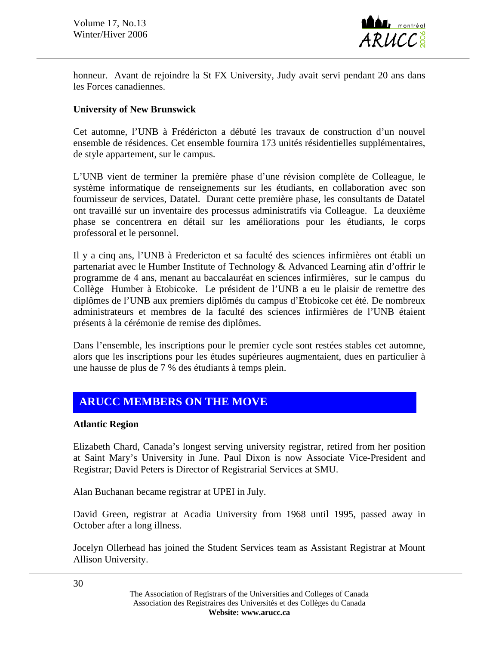

honneur. Avant de rejoindre la St FX University, Judy avait servi pendant 20 ans dans les Forces canadiennes.

#### **University of New Brunswick**

Cet automne, l'UNB à Frédéricton a débuté les travaux de construction d'un nouvel ensemble de résidences. Cet ensemble fournira 173 unités résidentielles supplémentaires, de style appartement, sur le campus.

L'UNB vient de terminer la première phase d'une révision complète de Colleague, le système informatique de renseignements sur les étudiants, en collaboration avec son fournisseur de services, Datatel. Durant cette première phase, les consultants de Datatel ont travaillé sur un inventaire des processus administratifs via Colleague. La deuxième phase se concentrera en détail sur les améliorations pour les étudiants, le corps professoral et le personnel.

Il y a cinq ans, l'UNB à Fredericton et sa faculté des sciences infirmières ont établi un partenariat avec le Humber Institute of Technology & Advanced Learning afin d'offrir le programme de 4 ans, menant au baccalauréat en sciences infirmières, sur le campus du Collège Humber à Etobicoke. Le président de l'UNB a eu le plaisir de remettre des diplômes de l'UNB aux premiers diplômés du campus d'Etobicoke cet été. De nombreux administrateurs et membres de la faculté des sciences infirmières de l'UNB étaient présents à la cérémonie de remise des diplômes.

Dans l'ensemble, les inscriptions pour le premier cycle sont restées stables cet automne, alors que les inscriptions pour les études supérieures augmentaient, dues en particulier à une hausse de plus de 7 % des étudiants à temps plein.

# **ARUCC MEMBERS ON THE MOVE**

#### **Atlantic Region**

Elizabeth Chard, Canada's longest serving university registrar, retired from her position at Saint Mary's University in June. Paul Dixon is now Associate Vice-President and Registrar; David Peters is Director of Registrarial Services at SMU.

Alan Buchanan became registrar at UPEI in July.

David Green, registrar at Acadia University from 1968 until 1995, passed away in October after a long illness.

Jocelyn Ollerhead has joined the Student Services team as Assistant Registrar at Mount Allison University.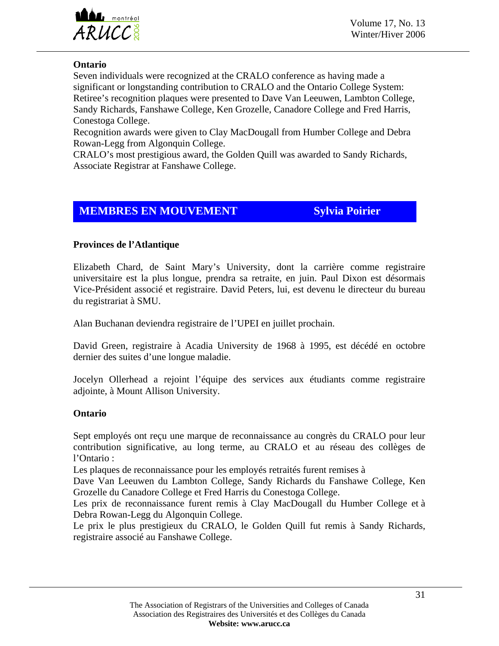

**ARUCC**<sup>8</sup> Volume 17, No. 15

#### **Ontario**

Seven individuals were recognized at the CRALO conference as having made a significant or longstanding contribution to CRALO and the Ontario College System: Retiree's recognition plaques were presented to Dave Van Leeuwen, Lambton College, Sandy Richards, Fanshawe College, Ken Grozelle, Canadore College and Fred Harris, Conestoga College.

Recognition awards were given to Clay MacDougall from Humber College and Debra Rowan-Legg from Algonquin College.

CRALO's most prestigious award, the Golden Quill was awarded to Sandy Richards, Associate Registrar at Fanshawe College.

# **MEMBRES EN MOUVEMENT** Sylvia Poirier

#### **Provinces de l'Atlantique**

Elizabeth Chard, de Saint Mary's University, dont la carrière comme registraire universitaire est la plus longue, prendra sa retraite, en juin. Paul Dixon est désormais Vice-Président associé et registraire. David Peters, lui, est devenu le directeur du bureau du registrariat à SMU.

Alan Buchanan deviendra registraire de l'UPEI en juillet prochain.

David Green, registraire à Acadia University de 1968 à 1995, est décédé en octobre dernier des suites d'une longue maladie.

Jocelyn Ollerhead a rejoint l'équipe des services aux étudiants comme registraire adjointe, à Mount Allison University.

#### **Ontario**

Sept employés ont reçu une marque de reconnaissance au congrès du CRALO pour leur contribution significative, au long terme, au CRALO et au réseau des collèges de l'Ontario :

Les plaques de reconnaissance pour les employés retraités furent remises à

Dave Van Leeuwen du Lambton College, Sandy Richards du Fanshawe College, Ken Grozelle du Canadore College et Fred Harris du Conestoga College.

Les prix de reconnaissance furent remis à Clay MacDougall du Humber College et à Debra Rowan-Legg du Algonquin College.

Le prix le plus prestigieux du CRALO, le Golden Quill fut remis à Sandy Richards, registraire associé au Fanshawe College.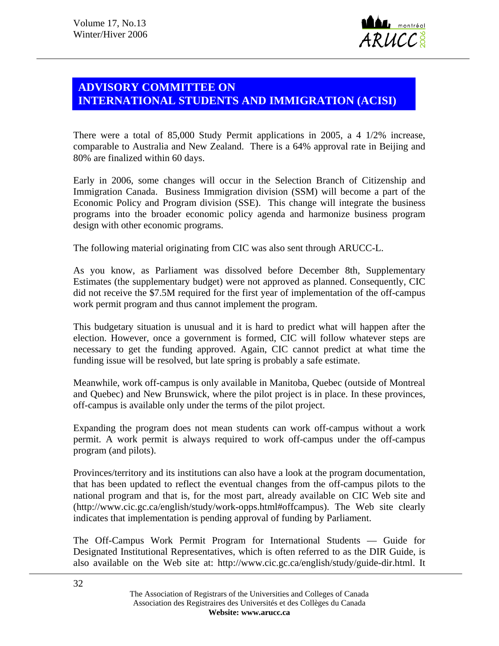

# **ADVISORY COMMITTEE ON INTERNATIONAL STUDENTS AND IMMIGRATION (ACISI)**

There were a total of 85,000 Study Permit applications in 2005, a 4 1/2% increase, comparable to Australia and New Zealand. There is a 64% approval rate in Beijing and 80% are finalized within 60 days.

Early in 2006, some changes will occur in the Selection Branch of Citizenship and Immigration Canada. Business Immigration division (SSM) will become a part of the Economic Policy and Program division (SSE). This change will integrate the business programs into the broader economic policy agenda and harmonize business program design with other economic programs.

The following material originating from CIC was also sent through ARUCC-L.

As you know, as Parliament was dissolved before December 8th, Supplementary Estimates (the supplementary budget) were not approved as planned. Consequently, CIC did not receive the \$7.5M required for the first year of implementation of the off-campus work permit program and thus cannot implement the program.

This budgetary situation is unusual and it is hard to predict what will happen after the election. However, once a government is formed, CIC will follow whatever steps are necessary to get the funding approved. Again, CIC cannot predict at what time the funding issue will be resolved, but late spring is probably a safe estimate.

Meanwhile, work off-campus is only available in Manitoba, Quebec (outside of Montreal and Quebec) and New Brunswick, where the pilot project is in place. In these provinces, off-campus is available only under the terms of the pilot project.

Expanding the program does not mean students can work off-campus without a work permit. A work permit is always required to work off-campus under the off-campus program (and pilots).

Provinces/territory and its institutions can also have a look at the program documentation, that has been updated to reflect the eventual changes from the off-campus pilots to the national program and that is, for the most part, already available on CIC Web site and (http://www.cic.gc.ca/english/study/work-opps.html#offcampus). The Web site clearly indicates that implementation is pending approval of funding by Parliament.

The Off-Campus Work Permit Program for International Students — Guide for Designated Institutional Representatives, which is often referred to as the DIR Guide, is also available on the Web site at: http://www.cic.gc.ca/english/study/guide-dir.html. It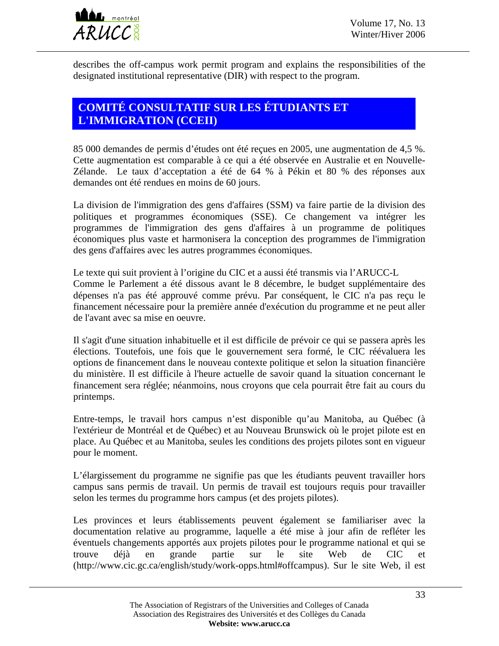

describes the off-campus work permit program and explains the responsibilities of the designated institutional representative (DIR) with respect to the program.

# **COMITÉ CONSULTATIF SUR LES ÉTUDIANTS ET L'IMMIGRATION (CCEII)**

85 000 demandes de permis d'études ont été reçues en 2005, une augmentation de 4,5 %. Cette augmentation est comparable à ce qui a été observée en Australie et en Nouvelle-Zélande. Le taux d'acceptation a été de 64 % à Pékin et 80 % des réponses aux demandes ont été rendues en moins de 60 jours.

La division de l'immigration des gens d'affaires (SSM) va faire partie de la division des politiques et programmes économiques (SSE). Ce changement va intégrer les programmes de l'immigration des gens d'affaires à un programme de politiques économiques plus vaste et harmonisera la conception des programmes de l'immigration des gens d'affaires avec les autres programmes économiques.

Le texte qui suit provient à l'origine du CIC et a aussi été transmis via l'ARUCC-L Comme le Parlement a été dissous avant le 8 décembre, le budget supplémentaire des dépenses n'a pas été approuvé comme prévu. Par conséquent, le CIC n'a pas reçu le financement nécessaire pour la première année d'exécution du programme et ne peut aller de l'avant avec sa mise en oeuvre.

Il s'agit d'une situation inhabituelle et il est difficile de prévoir ce qui se passera après les élections. Toutefois, une fois que le gouvernement sera formé, le CIC réévaluera les options de financement dans le nouveau contexte politique et selon la situation financière du ministère. Il est difficile à l'heure actuelle de savoir quand la situation concernant le financement sera réglée; néanmoins, nous croyons que cela pourrait être fait au cours du printemps.

Entre-temps, le travail hors campus n'est disponible qu'au Manitoba, au Québec (à l'extérieur de Montréal et de Québec) et au Nouveau Brunswick où le projet pilote est en place. Au Québec et au Manitoba, seules les conditions des projets pilotes sont en vigueur pour le moment.

L'élargissement du programme ne signifie pas que les étudiants peuvent travailler hors campus sans permis de travail. Un permis de travail est toujours requis pour travailler selon les termes du programme hors campus (et des projets pilotes).

Les provinces et leurs établissements peuvent également se familiariser avec la documentation relative au programme, laquelle a été mise à jour afin de refléter les éventuels changements apportés aux projets pilotes pour le programme national et qui se trouve déjà en grande partie sur le site Web de CIC et (http://www.cic.gc.ca/english/study/work-opps.html#offcampus). Sur le site Web, il est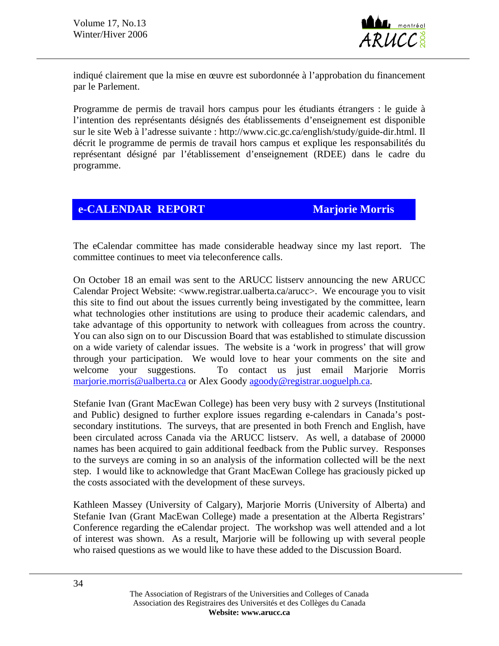

indiqué clairement que la mise en œuvre est subordonnée à l'approbation du financement par le Parlement.

Programme de permis de travail hors campus pour les étudiants étrangers : le guide à l'intention des représentants désignés des établissements d'enseignement est disponible sur le site Web à l'adresse suivante : http://www.cic.gc.ca/english/study/guide-dir.html. Il décrit le programme de permis de travail hors campus et explique les responsabilités du représentant désigné par l'établissement d'enseignement (RDEE) dans le cadre du programme.

# **e-CALENDAR REPORT Marjorie Morris**

The eCalendar committee has made considerable headway since my last report. The committee continues to meet via teleconference calls.

On October 18 an email was sent to the ARUCC listserv announcing the new ARUCC Calendar Project Website: <www.registrar.ualberta.ca/arucc>. We encourage you to visit this site to find out about the issues currently being investigated by the committee, learn what technologies other institutions are using to produce their academic calendars, and take advantage of this opportunity to network with colleagues from across the country. You can also sign on to our Discussion Board that was established to stimulate discussion on a wide variety of calendar issues. The website is a 'work in progress' that will grow through your participation. We would love to hear your comments on the site and welcome your suggestions. To contact us just email Marjorie Morris [marjorie.morris@ualberta.ca](mailto:marjorie.morris@ualberta.ca) or Alex Goody [agoody@registrar.uoguelph.ca](mailto:agoody@registrar.uoguelph.ca).

Stefanie Ivan (Grant MacEwan College) has been very busy with 2 surveys (Institutional and Public) designed to further explore issues regarding e-calendars in Canada's postsecondary institutions. The surveys, that are presented in both French and English, have been circulated across Canada via the ARUCC listserv. As well, a database of 20000 names has been acquired to gain additional feedback from the Public survey. Responses to the surveys are coming in so an analysis of the information collected will be the next step. I would like to acknowledge that Grant MacEwan College has graciously picked up the costs associated with the development of these surveys.

Kathleen Massey (University of Calgary), Marjorie Morris (University of Alberta) and Stefanie Ivan (Grant MacEwan College) made a presentation at the Alberta Registrars' Conference regarding the eCalendar project. The workshop was well attended and a lot of interest was shown. As a result, Marjorie will be following up with several people who raised questions as we would like to have these added to the Discussion Board.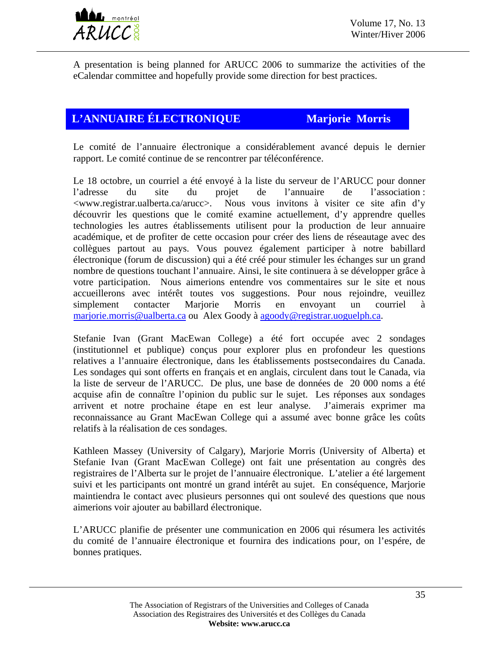

A presentation is being planned for ARUCC 2006 to summarize the activities of the eCalendar committee and hopefully provide some direction for best practices.

# **L'ANNUAIRE ÉLECTRONIQUE Marjorie Morris**

Le comité de l'annuaire électronique a considérablement avancé depuis le dernier rapport. Le comité continue de se rencontrer par téléconférence.

Le 18 octobre, un courriel a été envoyé à la liste du serveur de l'ARUCC pour donner l'adresse du site du projet de l'annuaire de l'association : <www.registrar.ualberta.ca/arucc>. Nous vous invitons à visiter ce site afin d'y découvrir les questions que le comité examine actuellement, d'y apprendre quelles technologies les autres établissements utilisent pour la production de leur annuaire académique, et de profiter de cette occasion pour créer des liens de réseautage avec des collègues partout au pays. Vous pouvez également participer à notre babillard électronique (forum de discussion) qui a été créé pour stimuler les échanges sur un grand nombre de questions touchant l'annuaire. Ainsi, le site continuera à se développer grâce à votre participation. Nous aimerions entendre vos commentaires sur le site et nous accueillerons avec intérêt toutes vos suggestions. Pour nous rejoindre, veuillez simplement contacter Marjorie Morris en envoyant un courriel à [marjorie.morris@ualberta.ca](mailto:marjorie.morris@ualberta.ca) ou Alex Goody à [agoody@registrar.uoguelph.ca](mailto:agoody@registrar.uoguelph.ca).

Stefanie Ivan (Grant MacEwan College) a été fort occupée avec 2 sondages (institutionnel et publique) conçus pour explorer plus en profondeur les questions relatives a l'annuaire électronique, dans les établissements postsecondaires du Canada. Les sondages qui sont offerts en français et en anglais, circulent dans tout le Canada, via la liste de serveur de l'ARUCC. De plus, une base de données de 20 000 noms a été acquise afin de connaître l'opinion du public sur le sujet. Les réponses aux sondages arrivent et notre prochaine étape en est leur analyse. J'aimerais exprimer ma reconnaissance au Grant MacEwan College qui a assumé avec bonne grâce les coûts relatifs à la réalisation de ces sondages.

Kathleen Massey (University of Calgary), Marjorie Morris (University of Alberta) et Stefanie Ivan (Grant MacEwan College) ont fait une présentation au congrès des registraires de l'Alberta sur le projet de l'annuaire électronique. L'atelier a été largement suivi et les participants ont montré un grand intérêt au sujet. En conséquence, Marjorie maintiendra le contact avec plusieurs personnes qui ont soulevé des questions que nous aimerions voir ajouter au babillard électronique.

L'ARUCC planifie de présenter une communication en 2006 qui résumera les activités du comité de l'annuaire électronique et fournira des indications pour, on l'espére, de bonnes pratiques.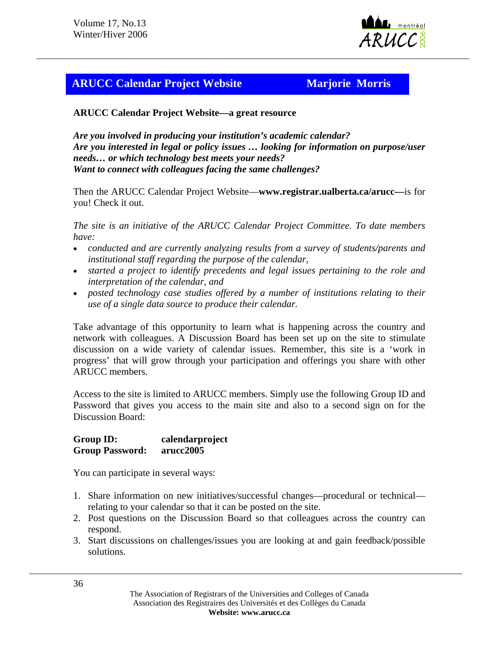

# **ARUCC Calendar Project Website Marjorie Morris**

**ARUCC Calendar Project Website—a great resource**

*Are you involved in producing your institution's academic calendar? Are you interested in legal or policy issues … looking for information on purpose/user needs… or which technology best meets your needs? Want to connect with colleagues facing the same challenges?*

Then the ARUCC Calendar Project Website—**www.registrar.ualberta.ca/arucc—**is for you! Check it out.

*The site is an initiative of the ARUCC Calendar Project Committee. To date members have:* 

- *conducted and are currently analyzing results from a survey of students/parents and institutional staff regarding the purpose of the calendar,*
- *started a project to identify precedents and legal issues pertaining to the role and interpretation of the calendar, and*
- *posted technology case studies offered by a number of institutions relating to their use of a single data source to produce their calendar.*

Take advantage of this opportunity to learn what is happening across the country and network with colleagues. A Discussion Board has been set up on the site to stimulate discussion on a wide variety of calendar issues. Remember, this site is a 'work in progress' that will grow through your participation and offerings you share with other ARUCC members.

Access to the site is limited to ARUCC members. Simply use the following Group ID and Password that gives you access to the main site and also to a second sign on for the Discussion Board:

**Group ID: calendarproject Group Password: arucc2005** 

You can participate in several ways:

- 1. Share information on new initiatives/successful changes—procedural or technical relating to your calendar so that it can be posted on the site.
- 2. Post questions on the Discussion Board so that colleagues across the country can respond.
- 3. Start discussions on challenges/issues you are looking at and gain feedback/possible solutions.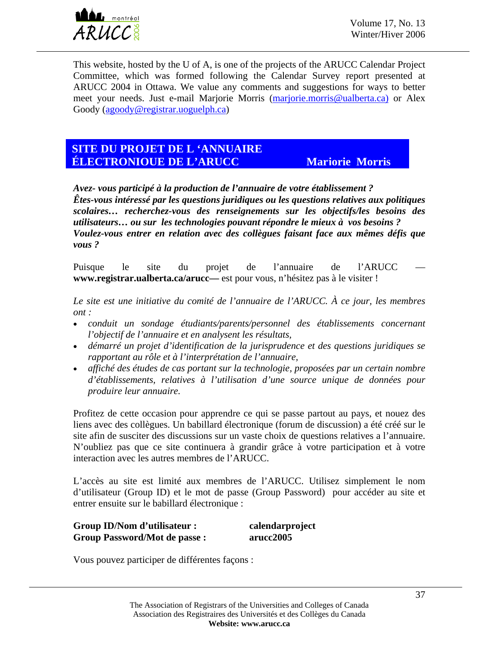

This website, hosted by the U of A, is one of the projects of the ARUCC Calendar Project Committee, which was formed following the Calendar Survey report presented at ARUCC 2004 in Ottawa. We value any comments and suggestions for ways to better meet your needs. Just e-mail Marjorie Morris ([marjorie.morris@ualberta.ca\)](mailto:marjorie.morris@ualberta.ca)) or Alex Goody ([agoody@registrar.uoguelph.ca](mailto:agoody@registrar.uoguelph.ca))

## **LE SITE DU PROJET DE L'ANNUAIRE ÉLECTRONIQUE DE L'ARUCC Marjorie Morris**

*Avez- vous participé à la production de l'annuaire de votre établissement ? Êtes-vous intéressé par les questions juridiques ou les questions relatives aux politiques scolaires… recherchez-vous des renseignements sur les objectifs/les besoins des utilisateurs… ou sur les technologies pouvant répondre le mieux à vos besoins ? Voulez-vous entrer en relation avec des collègues faisant face aux mêmes défis que vous ?*

Puisque le site du projet de l'annuaire de l'ARUCC **www.registrar.ualberta.ca/arucc—** est pour vous, n'hésitez pas à le visiter !

*Le site est une initiative du comité de l'annuaire de l'ARUCC. À ce jour, les membres ont :* 

- *conduit un sondage étudiants/parents/personnel des établissements concernant l'objectif de l'annuaire et en analysent les résultats,*
- *démarré un projet d'identification de la jurisprudence et des questions juridiques se rapportant au rôle et à l'interprétation de l'annuaire,*
- *affiché des études de cas portant sur la technologie, proposées par un certain nombre d'établissements, relatives à l'utilisation d'une source unique de données pour produire leur annuaire.*

Profitez de cette occasion pour apprendre ce qui se passe partout au pays, et nouez des liens avec des collègues. Un babillard électronique (forum de discussion) a été créé sur le site afin de susciter des discussions sur un vaste choix de questions relatives a l'annuaire. N'oubliez pas que ce site continuera à grandir grâce à votre participation et à votre interaction avec les autres membres de l'ARUCC.

L'accès au site est limité aux membres de l'ARUCC. Utilisez simplement le nom d'utilisateur (Group ID) et le mot de passe (Group Password) pour accéder au site et entrer ensuite sur le babillard électronique :

| Group ID/Nom d'utilisateur :         | calendarproject |
|--------------------------------------|-----------------|
| <b>Group Password/Mot de passe :</b> | arucc2005       |

Vous pouvez participer de différentes façons :